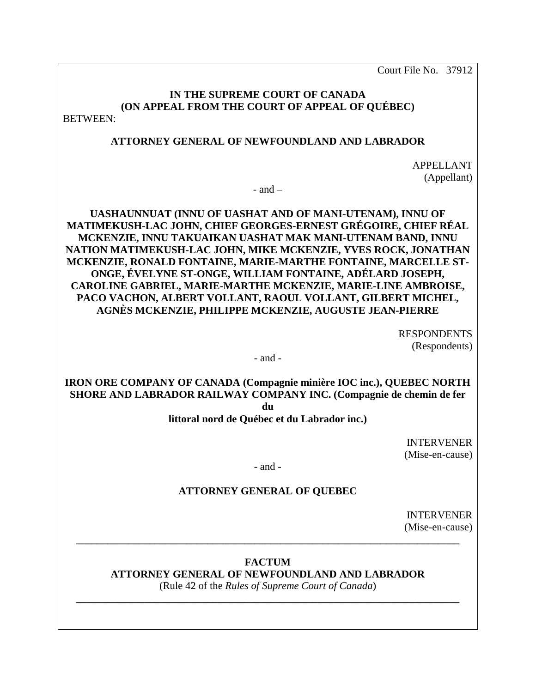Court File No. 37912

# **IN THE SUPREME COURT OF CANADA (ON APPEAL FROM THE COURT OF APPEAL OF QUÉBEC)**

BETWEEN:

### **ATTORNEY GENERAL OF NEWFOUNDLAND AND LABRADOR**

APPELLANT (Appellant)

 $-$  and  $-$ 

**UASHAUNNUAT (INNU OF UASHAT AND OF MANI-UTENAM), INNU OF MATIMEKUSH-LAC JOHN, CHIEF GEORGES-ERNEST GRÉGOIRE, CHIEF RÉAL MCKENZIE, INNU TAKUAIKAN UASHAT MAK MANI-UTENAM BAND, INNU NATION MATIMEKUSH-LAC JOHN, MIKE MCKENZIE, YVES ROCK, JONATHAN MCKENZIE, RONALD FONTAINE, MARIE-MARTHE FONTAINE, MARCELLE ST-ONGE, ÉVELYNE ST-ONGE, WILLIAM FONTAINE, ADÉLARD JOSEPH, CAROLINE GABRIEL, MARIE-MARTHE MCKENZIE, MARIE-LINE AMBROISE, PACO VACHON, ALBERT VOLLANT, RAOUL VOLLANT, GILBERT MICHEL, AGNÈS MCKENZIE, PHILIPPE MCKENZIE, AUGUSTE JEAN-PIERRE** 

> RESPONDENTS (Respondents)

- and -

**IRON ORE COMPANY OF CANADA (Compagnie minière IOC inc.), QUEBEC NORTH SHORE AND LABRADOR RAILWAY COMPANY INC. (Compagnie de chemin de fer du** 

**littoral nord de Québec et du Labrador inc.)** 

INTERVENER (Mise-en-cause)

- and -

# **ATTORNEY GENERAL OF QUEBEC**

INTERVENER (Mise-en-cause)

**FACTUM** 

**\_\_\_\_\_\_\_\_\_\_\_\_\_\_\_\_\_\_\_\_\_\_\_\_\_\_\_\_\_\_\_\_\_\_\_\_\_\_\_\_\_\_\_\_\_\_\_\_\_\_\_\_\_\_\_\_\_\_\_\_\_\_\_\_\_\_\_\_\_\_\_\_\_** 

**ATTORNEY GENERAL OF NEWFOUNDLAND AND LABRADOR** 

(Rule 42 of the *Rules of Supreme Court of Canada*) **\_\_\_\_\_\_\_\_\_\_\_\_\_\_\_\_\_\_\_\_\_\_\_\_\_\_\_\_\_\_\_\_\_\_\_\_\_\_\_\_\_\_\_\_\_\_\_\_\_\_\_\_\_\_\_\_\_\_\_\_\_\_\_\_\_\_\_\_\_\_\_\_\_**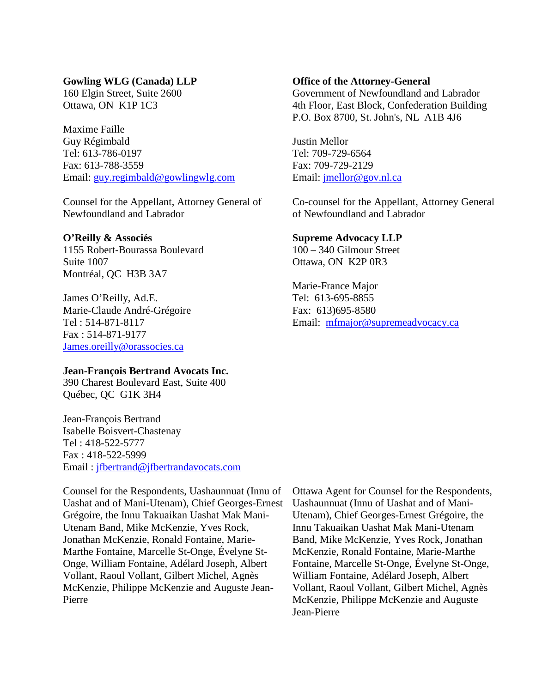#### **Gowling WLG (Canada) LLP**

160 Elgin Street, Suite 2600 Ottawa, ON K1P 1C3

Maxime Faille Guy Régimbald Tel: 613-786-0197 Fax: 613-788-3559 Email: [guy.regimbald@gowlingwlg.com](mailto:guy.regimbald@gowlingwlg.com)

Counsel for the Appellant, Attorney General of Newfoundland and Labrador

#### **O'Reilly & Associés**

1155 Robert-Bourassa Boulevard Suite 1007 Montréal, QC H3B 3A7

James O'Reilly, Ad.E. Marie-Claude André-Grégoire Tel : 514-871-8117 Fax : 514-871-9177 [James.oreilly@orassocies.ca](mailto:James.oreilly@orassocies.ca)

### **Jean-François Bertrand Avocats Inc.**

390 Charest Boulevard East, Suite 400 Québec, QC G1K 3H4

Jean-François Bertrand Isabelle Boisvert-Chastenay Tel : 418-522-5777 Fax : 418-522-5999 Email : [jfbertrand@jfbertrandavocats.com](mailto:jfbertrand@jfbertrandavocats.com)

Counsel for the Respondents, Uashaunnuat (Innu of Uashat and of Mani-Utenam), Chief Georges-Ernest Grégoire, the Innu Takuaikan Uashat Mak Mani-Utenam Band, Mike McKenzie, Yves Rock, Jonathan McKenzie, Ronald Fontaine, Marie-Marthe Fontaine, Marcelle St-Onge, Évelyne St-Onge, William Fontaine, Adélard Joseph, Albert Vollant, Raoul Vollant, Gilbert Michel, Agnès McKenzie, Philippe McKenzie and Auguste Jean-Pierre

#### **Office of the Attorney-General**

Government of Newfoundland and Labrador 4th Floor, East Block, Confederation Building P.O. Box 8700, St. John's, NL A1B 4J6

Justin Mellor Tel: 709-729-6564 Fax: 709-729-2129 Email: [jmellor@gov.nl.ca](mailto:jmellor@gov.nl.ca)

Co-counsel for the Appellant, Attorney General of Newfoundland and Labrador

### **Supreme Advocacy LLP**

100 – 340 Gilmour Street Ottawa, ON K2P 0R3

Marie-France Major Tel: 613-695-8855 Fax: 613)695-8580 Email: [mfmajor@supremeadvocacy.ca](mailto:mfmajor@supremeadvocacy.ca)

Ottawa Agent for Counsel for the Respondents, Uashaunnuat (Innu of Uashat and of Mani-Utenam), Chief Georges-Ernest Grégoire, the Innu Takuaikan Uashat Mak Mani-Utenam Band, Mike McKenzie, Yves Rock, Jonathan McKenzie, Ronald Fontaine, Marie-Marthe Fontaine, Marcelle St-Onge, Évelyne St-Onge, William Fontaine, Adélard Joseph, Albert Vollant, Raoul Vollant, Gilbert Michel, Agnès McKenzie, Philippe McKenzie and Auguste Jean-Pierre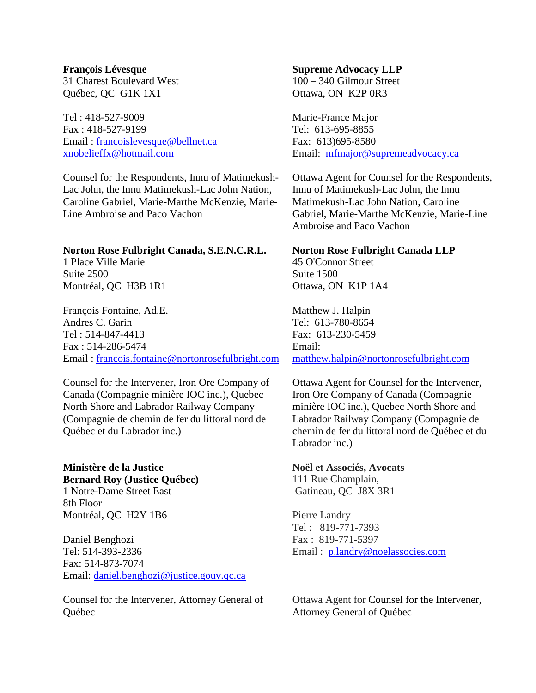Tel : 418-527-9009 Fax : 418-527-9199 Email : [francoislevesque@bellnet.ca](mailto:francoislevesque@bellnet.ca) [xnobelieffx@hotmail.com](mailto:xnobelieffx@hotmail.com)

Counsel for the Respondents, Innu of Matimekush-Lac John, the Innu Matimekush-Lac John Nation, Caroline Gabriel, Marie-Marthe McKenzie, Marie-Line Ambroise and Paco Vachon

#### **Norton Rose Fulbright Canada, S.E.N.C.R.L.**

1 Place Ville Marie Suite 2500 Montréal, QC H3B 1R1

François Fontaine, Ad.E. Andres C. Garin Tel : 514-847-4413 Fax : 514-286-5474 Email : [francois.fontaine@nortonrosefulbright.com](mailto:francois.fontaine@nortonrosefulbright.com)

Counsel for the Intervener, Iron Ore Company of Canada (Compagnie minière IOC inc.), Quebec North Shore and Labrador Railway Company (Compagnie de chemin de fer du littoral nord de Québec et du Labrador inc.)

## **Ministère de la Justice Bernard Roy (Justice Québec)**  1 Notre-Dame Street East 8th Floor Montréal, QC H2Y 1B6

Daniel Benghozi Tel: 514-393-2336 Fax: 514-873-7074 Email: [daniel.benghozi@justice.gouv.qc.ca](mailto:daniel.benghozi@justice.gouv.qc.ca)

Counsel for the Intervener, Attorney General of Québec

### **Supreme Advocacy LLP**

100 – 340 Gilmour Street Ottawa, ON K2P 0R3

Marie-France Major Tel: 613-695-8855 Fax: 613)695-8580 Email: [mfmajor@supremeadvocacy.ca](mailto:mfmajor@supremeadvocacy.ca)

Ottawa Agent for Counsel for the Respondents, Innu of Matimekush-Lac John, the Innu Matimekush-Lac John Nation, Caroline Gabriel, Marie-Marthe McKenzie, Marie-Line Ambroise and Paco Vachon

### **Norton Rose Fulbright Canada LLP**

45 O'Connor Street Suite 1500 Ottawa, ON K1P 1A4

Matthew J. Halpin Tel: 613-780-8654 Fax: 613-230-5459 Email: [matthew.halpin@nortonrosefulbright.com](mailto:matthew.halpin@nortonrosefulbright.com)

Ottawa Agent for Counsel for the Intervener, Iron Ore Company of Canada (Compagnie minière IOC inc.), Quebec North Shore and Labrador Railway Company (Compagnie de chemin de fer du littoral nord de Québec et du Labrador inc.)

#### **Noël et Associés, Avocats**

111 Rue Champlain, Gatineau, QC J8X 3R1

Pierre Landry Tel : 819-771-7393 Fax : 819-771-5397 Email: [p.landry@noelassocies.com](mailto:p.landry@noelassocies.com)

Ottawa Agent for Counsel for the Intervener, Attorney General of Québec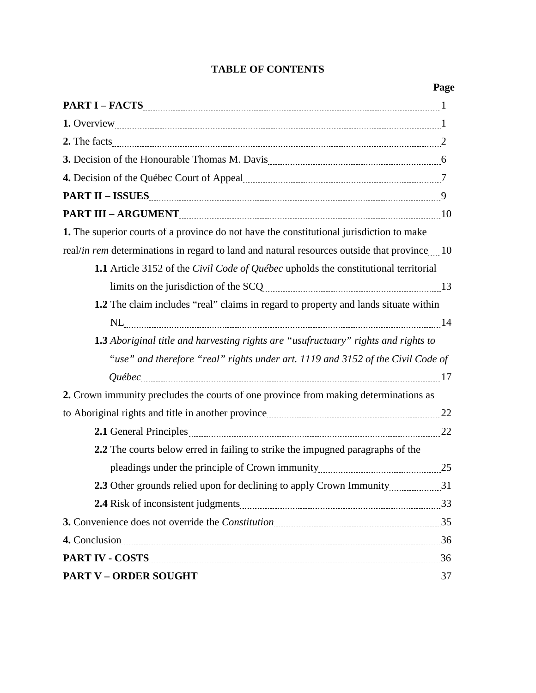# **TABLE OF CONTENTS**

| 3. Decision of the Honourable Thomas M. Davis <b>Constantine Constantine Constantine Constantine Constantine Constantine Constantine Constantine Constantine Constantine Constantine Constantine Constantine Constantine Constan</b> |  |
|--------------------------------------------------------------------------------------------------------------------------------------------------------------------------------------------------------------------------------------|--|
| 4. Decision of the Québec Court of Appeal <b>Marshall</b> 7                                                                                                                                                                          |  |
|                                                                                                                                                                                                                                      |  |
|                                                                                                                                                                                                                                      |  |
| 1. The superior courts of a province do not have the constitutional jurisdiction to make                                                                                                                                             |  |
| real/in rem determinations in regard to land and natural resources outside that province 10                                                                                                                                          |  |
| 1.1 Article 3152 of the Civil Code of Québec upholds the constitutional territorial                                                                                                                                                  |  |
|                                                                                                                                                                                                                                      |  |
| 1.2 The claim includes "real" claims in regard to property and lands situate within                                                                                                                                                  |  |
|                                                                                                                                                                                                                                      |  |
| <b>1.3</b> Aboriginal title and harvesting rights are "usufructuary" rights and rights to                                                                                                                                            |  |
| "use" and therefore "real" rights under art. 1119 and 3152 of the Civil Code of                                                                                                                                                      |  |
|                                                                                                                                                                                                                                      |  |
| 2. Crown immunity precludes the courts of one province from making determinations as                                                                                                                                                 |  |
|                                                                                                                                                                                                                                      |  |
|                                                                                                                                                                                                                                      |  |
| 2.2 The courts below erred in failing to strike the impugned paragraphs of the                                                                                                                                                       |  |
|                                                                                                                                                                                                                                      |  |
| 2.3 Other grounds relied upon for declining to apply Crown Immunity31                                                                                                                                                                |  |
|                                                                                                                                                                                                                                      |  |
| 3. Convenience does not override the Constitution manuscriman manuscriman 35                                                                                                                                                         |  |
| 4. Conclusion 36                                                                                                                                                                                                                     |  |
| <b>PART IV - COSTS</b> 26                                                                                                                                                                                                            |  |
|                                                                                                                                                                                                                                      |  |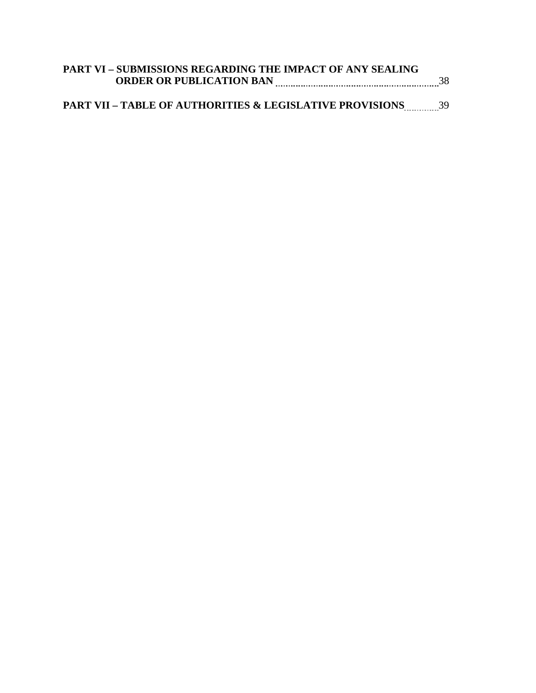| <b>PART VI - SUBMISSIONS REGARDING THE IMPACT OF ANY SEALING</b> |  |
|------------------------------------------------------------------|--|
| <b>ORDER OR PUBLICATION BAN</b>                                  |  |

# **PART VII – TABLE OF AUTHORITIES & LEGISLATIVE PROVISIONS** 39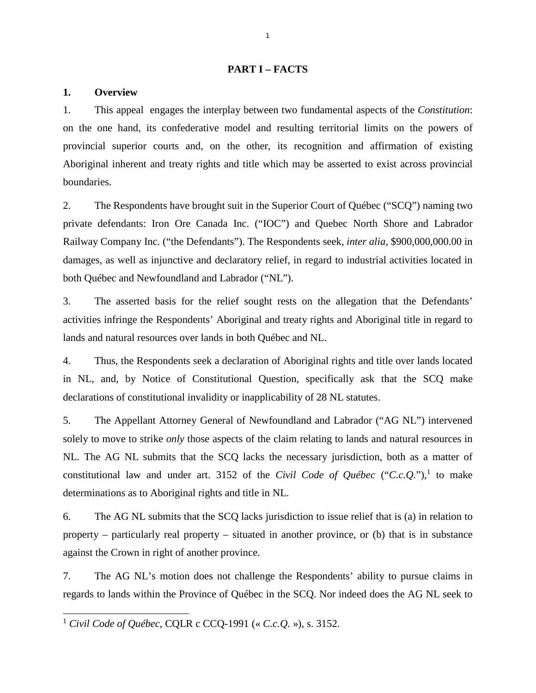#### **PART I – FACTS**

#### **1. Overview**

1. This appeal engages the interplay between two fundamental aspects of the *Constitution*: on the one hand, its confederative model and resulting territorial limits on the powers of provincial superior courts and, on the other, its recognition and affirmation of existing Aboriginal inherent and treaty rights and title which may be asserted to exist across provincial boundaries.

2. The Respondents have brought suit in the Superior Court of Québec ("SCQ") naming two private defendants: Iron Ore Canada Inc. ("IOC") and Quebec North Shore and Labrador Railway Company Inc. ("the Defendants"). The Respondents seek, *inter alia*, \$900,000,000.00 in damages, as well as injunctive and declaratory relief, in regard to industrial activities located in both Québec and Newfoundland and Labrador ("NL").

3. The asserted basis for the relief sought rests on the allegation that the Defendants' activities infringe the Respondents' Aboriginal and treaty rights and Aboriginal title in regard to lands and natural resources over lands in both Québec and NL.

4. Thus, the Respondents seek a declaration of Aboriginal rights and title over lands located in NL, and, by Notice of Constitutional Question, specifically ask that the SCQ make declarations of constitutional invalidity or inapplicability of 28 NL statutes.

5. The Appellant Attorney General of Newfoundland and Labrador ("AG NL") intervened solely to move to strike *only* those aspects of the claim relating to lands and natural resources in NL. The AG NL submits that the SCQ lacks the necessary jurisdiction, both as a matter of constitutional law and under art. 3[1](#page-5-0)52 of the *Civil Code of Québec* ("*C.c.Q.*"),<sup>1</sup> to make determinations as to Aboriginal rights and title in NL.

6. The AG NL submits that the SCQ lacks jurisdiction to issue relief that is (a) in relation to property – particularly real property – situated in another province, or (b) that is in substance against the Crown in right of another province.

7. The AG NL's motion does not challenge the Respondents' ability to pursue claims in regards to lands within the Province of Québec in the SCQ. Nor indeed does the AG NL seek to

<span id="page-5-0"></span><sup>1</sup> *Civil Code of Québec*, CQLR c CCQ-1991 (« *C.c.Q.* »), s. 3152.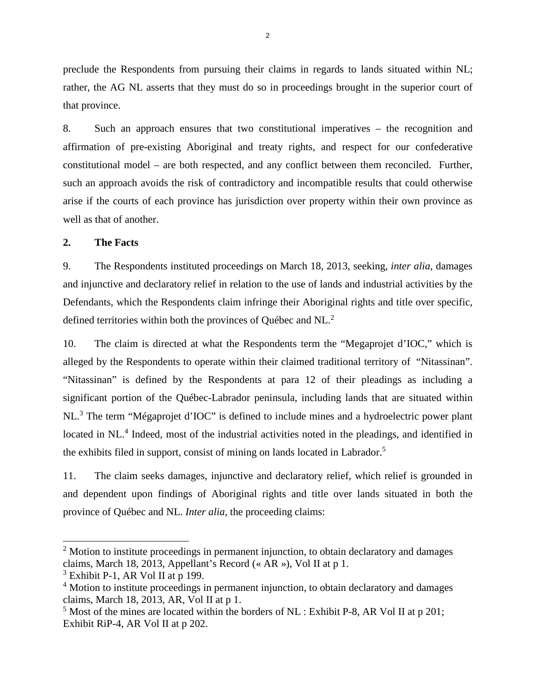preclude the Respondents from pursuing their claims in regards to lands situated within NL; rather, the AG NL asserts that they must do so in proceedings brought in the superior court of that province.

8. Such an approach ensures that two constitutional imperatives – the recognition and affirmation of pre-existing Aboriginal and treaty rights, and respect for our confederative constitutional model – are both respected, and any conflict between them reconciled. Further, such an approach avoids the risk of contradictory and incompatible results that could otherwise arise if the courts of each province has jurisdiction over property within their own province as well as that of another.

### **2. The Facts**

9. The Respondents instituted proceedings on March 18, 2013, seeking, *inter alia*, damages and injunctive and declaratory relief in relation to the use of lands and industrial activities by the Defendants, which the Respondents claim infringe their Aboriginal rights and title over specific, defined territories within both the provinces of Québec and NL.<sup>[2](#page-6-0)</sup>

10. The claim is directed at what the Respondents term the "Megaprojet d'IOC," which is alleged by the Respondents to operate within their claimed traditional territory of "Nitassinan". "Nitassinan" is defined by the Respondents at para 12 of their pleadings as including a significant portion of the Québec-Labrador peninsula, including lands that are situated within NL.<sup>[3](#page-6-1)</sup> The term "Mégaprojet d'IOC" is defined to include mines and a hydroelectric power plant located in NL.<sup>[4](#page-6-2)</sup> Indeed, most of the industrial activities noted in the pleadings, and identified in the exhibits filed in support, consist of mining on lands located in Labrador.<sup>[5](#page-6-3)</sup>

11. The claim seeks damages, injunctive and declaratory relief, which relief is grounded in and dependent upon findings of Aboriginal rights and title over lands situated in both the province of Québec and NL. *Inter alia,* the proceeding claims:

<span id="page-6-0"></span> $2$  Motion to institute proceedings in permanent injunction, to obtain declaratory and damages claims, March 18, 2013, Appellant's Record (« AR »), Vol II at p 1.

<span id="page-6-1"></span> $3$  Exhibit P-1, AR Vol II at p 199.

<span id="page-6-2"></span><sup>&</sup>lt;sup>4</sup> Motion to institute proceedings in permanent injunction, to obtain declaratory and damages claims, March 18, 2013, AR, Vol II at p 1.

<span id="page-6-3"></span> $<sup>5</sup>$  Most of the mines are located within the borders of NL : Exhibit P-8, AR Vol II at p 201;</sup> Exhibit RiP-4, AR Vol II at p 202.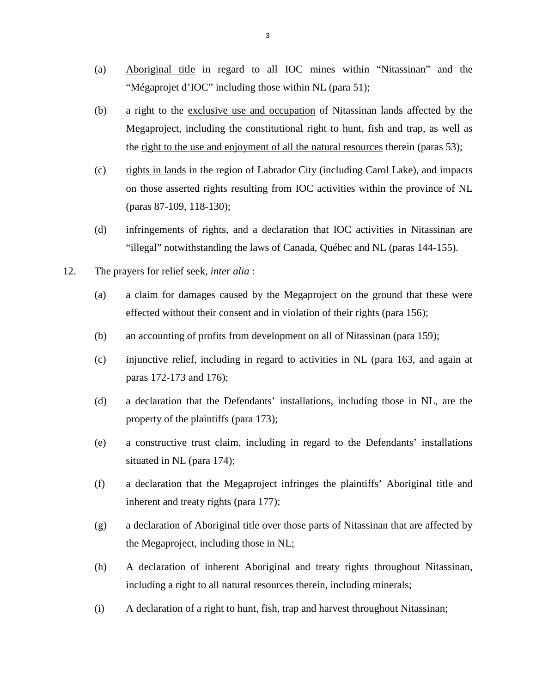- (a) Aboriginal title in regard to all IOC mines within "Nitassinan" and the "Mégaprojet d'IOC" including those within NL (para 51);
- (b) a right to the exclusive use and occupation of Nitassinan lands affected by the Megaproject, including the constitutional right to hunt, fish and trap, as well as the right to the use and enjoyment of all the natural resources therein (paras 53);
- (c) rights in lands in the region of Labrador City (including Carol Lake), and impacts on those asserted rights resulting from IOC activities within the province of NL (paras 87-109, 118-130);
- (d) infringements of rights, and a declaration that IOC activities in Nitassinan are "illegal" notwithstanding the laws of Canada, Québec and NL (paras 144-155).
- 12. The prayers for relief seek, *inter alia* :
	- (a) a claim for damages caused by the Megaproject on the ground that these were effected without their consent and in violation of their rights (para 156);
	- (b) an accounting of profits from development on all of Nitassinan (para 159);
	- (c) injunctive relief, including in regard to activities in NL (para 163, and again at paras 172-173 and 176);
	- (d) a declaration that the Defendants' installations, including those in NL, are the property of the plaintiffs (para 173);
	- (e) a constructive trust claim, including in regard to the Defendants' installations situated in NL (para 174);
	- (f) a declaration that the Megaproject infringes the plaintiffs' Aboriginal title and inherent and treaty rights (para 177);
	- (g) a declaration of Aboriginal title over those parts of Nitassinan that are affected by the Megaproject, including those in NL;
	- (h) A declaration of inherent Aboriginal and treaty rights throughout Nitassinan, including a right to all natural resources therein, including minerals;
	- (i) A declaration of a right to hunt, fish, trap and harvest throughout Nitassinan;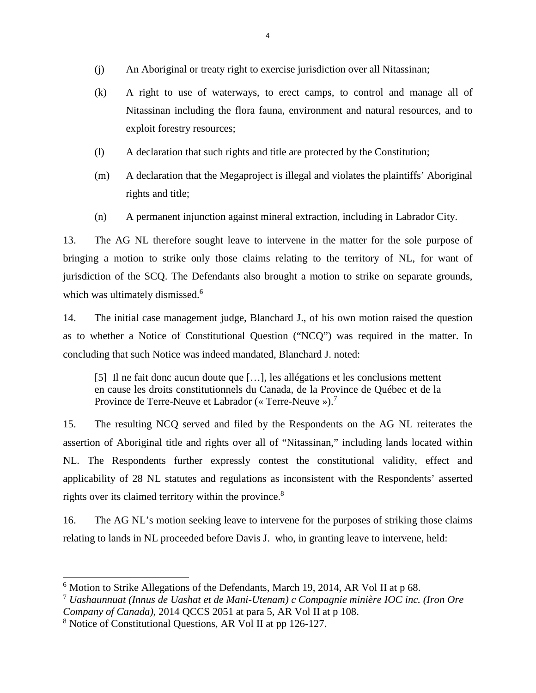- (j) An Aboriginal or treaty right to exercise jurisdiction over all Nitassinan;
- (k) A right to use of waterways, to erect camps, to control and manage all of Nitassinan including the flora fauna, environment and natural resources, and to exploit forestry resources;
- (l) A declaration that such rights and title are protected by the Constitution;
- (m) A declaration that the Megaproject is illegal and violates the plaintiffs' Aboriginal rights and title;
- (n) A permanent injunction against mineral extraction, including in Labrador City.

13. The AG NL therefore sought leave to intervene in the matter for the sole purpose of bringing a motion to strike only those claims relating to the territory of NL, for want of jurisdiction of the SCQ. The Defendants also brought a motion to strike on separate grounds, which was ultimately dismissed.<sup>[6](#page-8-0)</sup>

14. The initial case management judge, Blanchard J., of his own motion raised the question as to whether a Notice of Constitutional Question ("NCQ") was required in the matter. In concluding that such Notice was indeed mandated, Blanchard J. noted:

[5] Il ne fait donc aucun doute que […], les allégations et les conclusions mettent en cause les droits constitutionnels du Canada, de la Province de Québec et de la Province de Terre-Neuve et Labrador (« Terre-Neuve »).<sup>[7](#page-8-1)</sup>

15. The resulting NCQ served and filed by the Respondents on the AG NL reiterates the assertion of Aboriginal title and rights over all of "Nitassinan," including lands located within NL. The Respondents further expressly contest the constitutional validity, effect and applicability of 28 NL statutes and regulations as inconsistent with the Respondents' asserted rights over its claimed territory within the province.<sup>[8](#page-8-2)</sup>

16. The AG NL's motion seeking leave to intervene for the purposes of striking those claims relating to lands in NL proceeded before Davis J. who, in granting leave to intervene, held:

<span id="page-8-0"></span> $6$  Motion to Strike Allegations of the Defendants, March 19, 2014, AR Vol II at p 68.

<span id="page-8-1"></span><sup>7</sup> *Uashaunnuat (Innus de Uashat et de Mani-Utenam) c Compagnie minière IOC inc. (Iron Ore Company of Canada)*, 2014 QCCS 2051 at para 5, AR Vol II at p 108.

<span id="page-8-2"></span><sup>&</sup>lt;sup>8</sup> Notice of Constitutional Questions, AR Vol II at pp 126-127.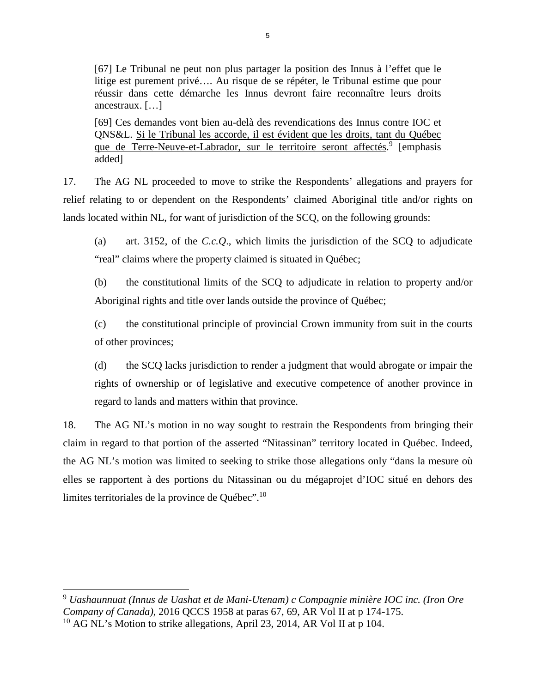[67] Le Tribunal ne peut non plus partager la position des Innus à l'effet que le litige est purement privé…. Au risque de se répéter, le Tribunal estime que pour réussir dans cette démarche les Innus devront faire reconnaître leurs droits ancestraux. […]

[69] Ces demandes vont bien au-delà des revendications des Innus contre IOC et QNS&L. Si le Tribunal les accorde, il est évident que les droits, tant du Québec que de Terre-Neuve-et-Labrador, sur le territoire seront affectés.<sup>[9](#page-9-0)</sup> [emphasis added]

17. The AG NL proceeded to move to strike the Respondents' allegations and prayers for relief relating to or dependent on the Respondents' claimed Aboriginal title and/or rights on lands located within NL, for want of jurisdiction of the SCQ, on the following grounds:

(a) art. 3152, of the *C.c.Q*., which limits the jurisdiction of the SCQ to adjudicate "real" claims where the property claimed is situated in Québec;

(b) the constitutional limits of the SCQ to adjudicate in relation to property and/or Aboriginal rights and title over lands outside the province of Québec;

(c) the constitutional principle of provincial Crown immunity from suit in the courts of other provinces;

(d) the SCQ lacks jurisdiction to render a judgment that would abrogate or impair the rights of ownership or of legislative and executive competence of another province in regard to lands and matters within that province.

18. The AG NL's motion in no way sought to restrain the Respondents from bringing their claim in regard to that portion of the asserted "Nitassinan" territory located in Québec. Indeed, the AG NL's motion was limited to seeking to strike those allegations only "dans la mesure où elles se rapportent à des portions du Nitassinan ou du mégaprojet d'IOC situé en dehors des limites territoriales de la province de Québec".[10](#page-9-1)

<span id="page-9-0"></span><sup>9</sup> *Uashaunnuat (Innus de Uashat et de Mani-Utenam) c Compagnie minière IOC inc. (Iron Ore Company of Canada)*, 2016 QCCS 1958 at paras 67, 69, AR Vol II at p 174-175.

<span id="page-9-1"></span> $10$  AG NL's Motion to strike allegations, April 23, 2014, AR Vol II at p 104.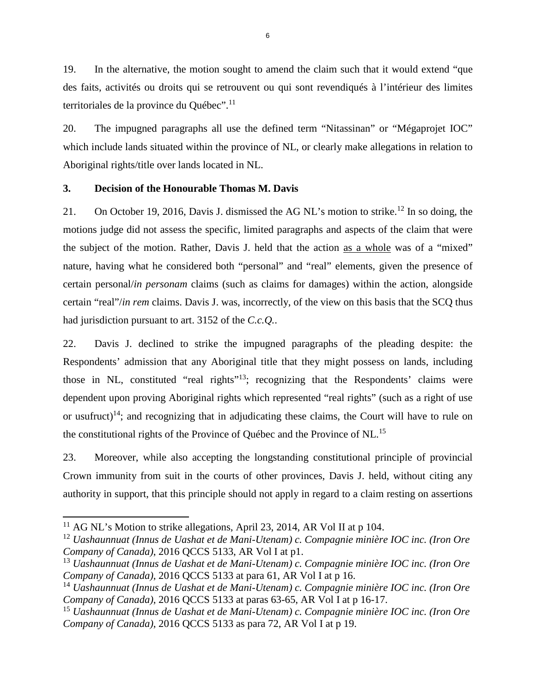19. In the alternative, the motion sought to amend the claim such that it would extend "que des faits, activités ou droits qui se retrouvent ou qui sont revendiqués à l'intérieur des limites territoriales de la province du Québec".<sup>[11](#page-10-0)</sup>

20. The impugned paragraphs all use the defined term "Nitassinan" or "Mégaprojet IOC" which include lands situated within the province of NL, or clearly make allegations in relation to Aboriginal rights/title over lands located in NL.

# **3. Decision of the Honourable Thomas M. Davis**

21. On October 19, 2016, Davis J. dismissed the AG NL's motion to strike.<sup>[12](#page-10-1)</sup> In so doing, the motions judge did not assess the specific, limited paragraphs and aspects of the claim that were the subject of the motion. Rather, Davis J. held that the action as a whole was of a "mixed" nature, having what he considered both "personal" and "real" elements, given the presence of certain personal/*in personam* claims (such as claims for damages) within the action, alongside certain "real"/*in rem* claims. Davis J. was, incorrectly, of the view on this basis that the SCQ thus had jurisdiction pursuant to art. 3152 of the *C.c.Q.*.

22. Davis J. declined to strike the impugned paragraphs of the pleading despite: the Respondents' admission that any Aboriginal title that they might possess on lands, including those in NL, constituted "real rights"<sup>[13](#page-10-2)</sup>; recognizing that the Respondents' claims were dependent upon proving Aboriginal rights which represented "real rights" (such as a right of use or usufruct)<sup>[14](#page-10-3)</sup>; and recognizing that in adjudicating these claims, the Court will have to rule on the constitutional rights of the Province of Québec and the Province of NL.[15](#page-10-4)

23. Moreover, while also accepting the longstanding constitutional principle of provincial Crown immunity from suit in the courts of other provinces, Davis J. held, without citing any authority in support, that this principle should not apply in regard to a claim resting on assertions

<span id="page-10-0"></span><sup>&</sup>lt;sup>11</sup> AG NL's Motion to strike allegations, April 23, 2014, AR Vol II at p 104.

<span id="page-10-1"></span><sup>12</sup> *Uashaunnuat (Innus de Uashat et de Mani-Utenam) c. Compagnie minière IOC inc. (Iron Ore Company of Canada)*, 2016 QCCS 5133, AR Vol I at p1.

<span id="page-10-2"></span><sup>13</sup> *Uashaunnuat (Innus de Uashat et de Mani-Utenam) c. Compagnie minière IOC inc. (Iron Ore Company of Canada)*, 2016 QCCS 5133 at para 61, AR Vol I at p 16.

<span id="page-10-3"></span><sup>14</sup> *Uashaunnuat (Innus de Uashat et de Mani-Utenam) c. Compagnie minière IOC inc. (Iron Ore Company of Canada)*, 2016 QCCS 5133 at paras 63-65, AR Vol I at p 16-17.

<span id="page-10-4"></span><sup>15</sup> *Uashaunnuat (Innus de Uashat et de Mani-Utenam) c. Compagnie minière IOC inc. (Iron Ore Company of Canada)*, 2016 QCCS 5133 as para 72, AR Vol I at p 19.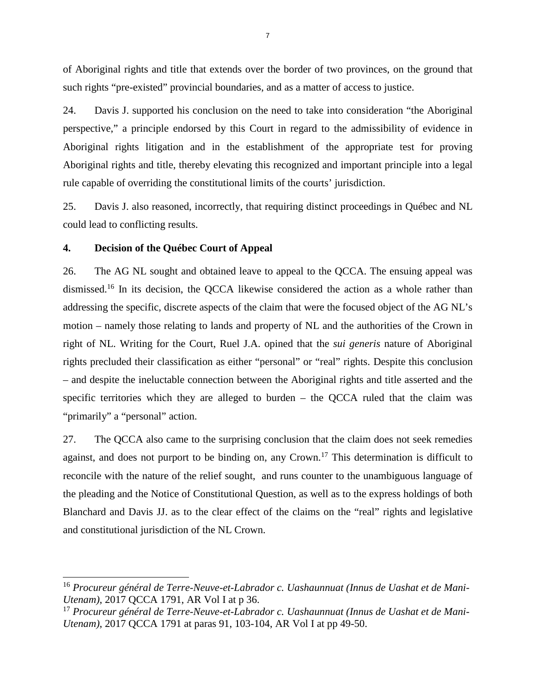of Aboriginal rights and title that extends over the border of two provinces, on the ground that such rights "pre-existed" provincial boundaries, and as a matter of access to justice.

24. Davis J. supported his conclusion on the need to take into consideration "the Aboriginal perspective," a principle endorsed by this Court in regard to the admissibility of evidence in Aboriginal rights litigation and in the establishment of the appropriate test for proving Aboriginal rights and title, thereby elevating this recognized and important principle into a legal rule capable of overriding the constitutional limits of the courts' jurisdiction.

25. Davis J. also reasoned, incorrectly, that requiring distinct proceedings in Québec and NL could lead to conflicting results.

### **4. Decision of the Québec Court of Appeal**

26. The AG NL sought and obtained leave to appeal to the QCCA. The ensuing appeal was dismissed.<sup>[16](#page-11-0)</sup> In its decision, the QCCA likewise considered the action as a whole rather than addressing the specific, discrete aspects of the claim that were the focused object of the AG NL's motion – namely those relating to lands and property of NL and the authorities of the Crown in right of NL. Writing for the Court, Ruel J.A. opined that the *sui generis* nature of Aboriginal rights precluded their classification as either "personal" or "real" rights. Despite this conclusion – and despite the ineluctable connection between the Aboriginal rights and title asserted and the specific territories which they are alleged to burden – the QCCA ruled that the claim was "primarily" a "personal" action.

27. The QCCA also came to the surprising conclusion that the claim does not seek remedies against, and does not purport to be binding on, any Crown.<sup>[17](#page-11-1)</sup> This determination is difficult to reconcile with the nature of the relief sought, and runs counter to the unambiguous language of the pleading and the Notice of Constitutional Question, as well as to the express holdings of both Blanchard and Davis JJ. as to the clear effect of the claims on the "real" rights and legislative and constitutional jurisdiction of the NL Crown.

<span id="page-11-0"></span><sup>16</sup> *Procureur général de Terre-Neuve-et-Labrador c. Uashaunnuat (Innus de Uashat et de Mani-Utenam)*, 2017 QCCA 1791, AR Vol I at p 36.

<span id="page-11-1"></span><sup>17</sup> *Procureur général de Terre-Neuve-et-Labrador c. Uashaunnuat (Innus de Uashat et de Mani-Utenam)*, 2017 QCCA 1791 at paras 91, 103-104, AR Vol I at pp 49-50.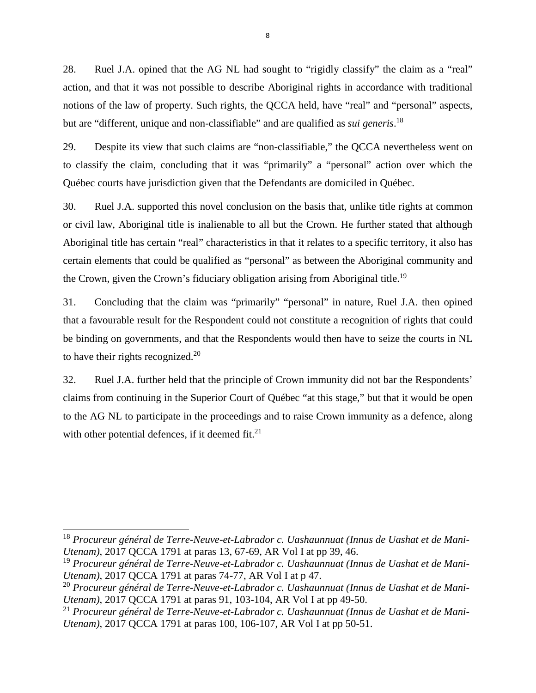28. Ruel J.A. opined that the AG NL had sought to "rigidly classify" the claim as a "real" action, and that it was not possible to describe Aboriginal rights in accordance with traditional notions of the law of property. Such rights, the QCCA held, have "real" and "personal" aspects, but are "different, unique and non-classifiable" and are qualified as *sui generis*. [18](#page-12-0)

29. Despite its view that such claims are "non-classifiable," the QCCA nevertheless went on to classify the claim, concluding that it was "primarily" a "personal" action over which the Québec courts have jurisdiction given that the Defendants are domiciled in Québec.

30. Ruel J.A. supported this novel conclusion on the basis that, unlike title rights at common or civil law, Aboriginal title is inalienable to all but the Crown. He further stated that although Aboriginal title has certain "real" characteristics in that it relates to a specific territory, it also has certain elements that could be qualified as "personal" as between the Aboriginal community and the Crown, given the Crown's fiduciary obligation arising from Aboriginal title.<sup>[19](#page-12-1)</sup>

31. Concluding that the claim was "primarily" "personal" in nature, Ruel J.A. then opined that a favourable result for the Respondent could not constitute a recognition of rights that could be binding on governments, and that the Respondents would then have to seize the courts in NL to have their rights recognized.<sup>[20](#page-12-2)</sup>

32. Ruel J.A. further held that the principle of Crown immunity did not bar the Respondents' claims from continuing in the Superior Court of Québec "at this stage," but that it would be open to the AG NL to participate in the proceedings and to raise Crown immunity as a defence, along with other potential defences, if it deemed  $fit.^{21}$  $fit.^{21}$  $fit.^{21}$ .

<span id="page-12-0"></span><sup>18</sup> *Procureur général de Terre-Neuve-et-Labrador c. Uashaunnuat (Innus de Uashat et de Mani-Utenam)*, 2017 QCCA 1791 at paras 13, 67-69, AR Vol I at pp 39, 46.

<span id="page-12-1"></span><sup>19</sup> *Procureur général de Terre-Neuve-et-Labrador c. Uashaunnuat (Innus de Uashat et de Mani-Utenam)*, 2017 QCCA 1791 at paras 74-77, AR Vol I at p 47.

<span id="page-12-2"></span><sup>20</sup> *Procureur général de Terre-Neuve-et-Labrador c. Uashaunnuat (Innus de Uashat et de Mani-Utenam)*, 2017 QCCA 1791 at paras 91, 103-104, AR Vol I at pp 49-50.

<span id="page-12-3"></span><sup>21</sup> *Procureur général de Terre-Neuve-et-Labrador c. Uashaunnuat (Innus de Uashat et de Mani-Utenam)*, 2017 QCCA 1791 at paras 100, 106-107, AR Vol I at pp 50-51.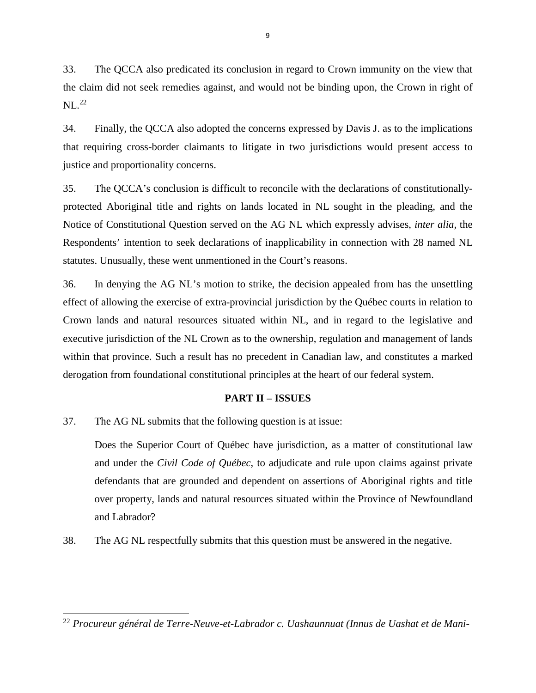33. The QCCA also predicated its conclusion in regard to Crown immunity on the view that the claim did not seek remedies against, and would not be binding upon, the Crown in right of  $NL.<sup>22</sup>$  $NL.<sup>22</sup>$  $NL.<sup>22</sup>$ 

34. Finally, the QCCA also adopted the concerns expressed by Davis J. as to the implications that requiring cross-border claimants to litigate in two jurisdictions would present access to justice and proportionality concerns.

35. The QCCA's conclusion is difficult to reconcile with the declarations of constitutionallyprotected Aboriginal title and rights on lands located in NL sought in the pleading, and the Notice of Constitutional Question served on the AG NL which expressly advises, *inter alia,* the Respondents' intention to seek declarations of inapplicability in connection with 28 named NL statutes. Unusually, these went unmentioned in the Court's reasons.

36. In denying the AG NL's motion to strike, the decision appealed from has the unsettling effect of allowing the exercise of extra-provincial jurisdiction by the Québec courts in relation to Crown lands and natural resources situated within NL, and in regard to the legislative and executive jurisdiction of the NL Crown as to the ownership, regulation and management of lands within that province. Such a result has no precedent in Canadian law, and constitutes a marked derogation from foundational constitutional principles at the heart of our federal system.

### **PART II – ISSUES**

37. The AG NL submits that the following question is at issue:

Does the Superior Court of Québec have jurisdiction, as a matter of constitutional law and under the *Civil Code of Québec*, to adjudicate and rule upon claims against private defendants that are grounded and dependent on assertions of Aboriginal rights and title over property, lands and natural resources situated within the Province of Newfoundland and Labrador?

38. The AG NL respectfully submits that this question must be answered in the negative.

<span id="page-13-0"></span><sup>22</sup> *Procureur général de Terre-Neuve-et-Labrador c. Uashaunnuat (Innus de Uashat et de Mani-*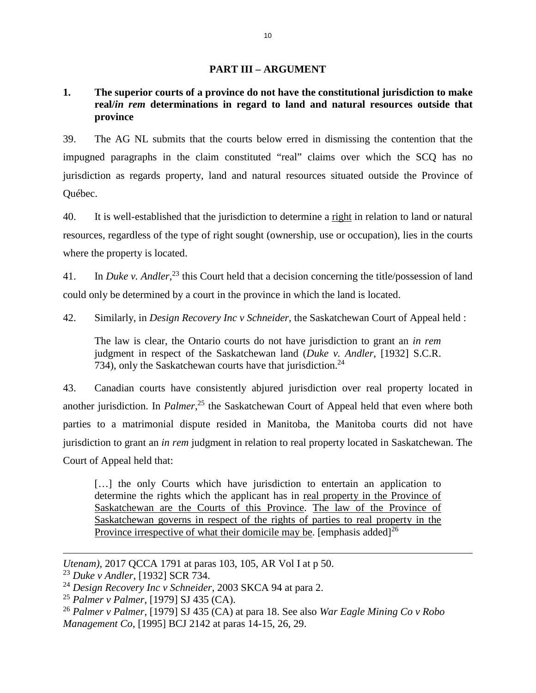### **PART III – ARGUMENT**

# **1. The superior courts of a province do not have the constitutional jurisdiction to make real/***in rem* **determinations in regard to land and natural resources outside that province**

39. The AG NL submits that the courts below erred in dismissing the contention that the impugned paragraphs in the claim constituted "real" claims over which the SCQ has no jurisdiction as regards property, land and natural resources situated outside the Province of Québec.

40. It is well-established that the jurisdiction to determine a right in relation to land or natural resources, regardless of the type of right sought (ownership, use or occupation), lies in the courts where the property is located.

41. In *Duke v. Andler*, [23](#page-14-0) this Court held that a decision concerning the title/possession of land could only be determined by a court in the province in which the land is located.

42. Similarly, in *Design Recovery Inc v Schneider*, the Saskatchewan Court of Appeal held :

The law is clear, the Ontario courts do not have jurisdiction to grant an *in rem* judgment in respect of the Saskatchewan land (*Duke v. Andler*, [1932] S.C.R. 734), only the Saskatchewan courts have that jurisdiction.<sup>[24](#page-14-1)</sup>

43. Canadian courts have consistently abjured jurisdiction over real property located in another jurisdiction. In *Palmer*, [25](#page-14-2) the Saskatchewan Court of Appeal held that even where both parties to a matrimonial dispute resided in Manitoba, the Manitoba courts did not have jurisdiction to grant an *in rem* judgment in relation to real property located in Saskatchewan. The Court of Appeal held that:

[...] the only Courts which have jurisdiction to entertain an application to determine the rights which the applicant has in real property in the Province of Saskatchewan are the Courts of this Province. The law of the Province of Saskatchewan governs in respect of the rights of parties to real property in the Province irrespective of what their domicile may be. [emphasis added] $^{26}$  $^{26}$  $^{26}$ 

<span id="page-14-0"></span>*Utenam)*, 2017 QCCA 1791 at paras 103, 105, AR Vol I at p 50.

<sup>23</sup> *Duke v Andler*, [1932] SCR 734.

<span id="page-14-1"></span><sup>24</sup> *Design Recovery Inc v Schneider*, 2003 SKCA 94 at para 2.

<span id="page-14-3"></span><span id="page-14-2"></span><sup>25</sup> *Palmer v Palmer*, [1979] SJ 435 (CA).

<sup>26</sup> *Palmer v Palmer*, [1979] SJ 435 (CA) at para 18. See also *War Eagle Mining Co v Robo Management Co*, [1995] BCJ 2142 at paras 14-15, 26, 29.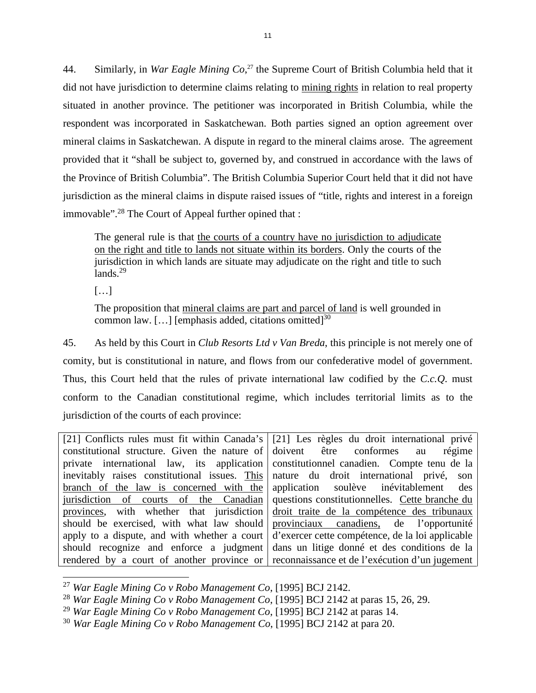44. Similarly, in *War Eagle Mining Co*, [27](#page-15-0) the Supreme Court of British Columbia held that it did not have jurisdiction to determine claims relating to mining rights in relation to real property situated in another province. The petitioner was incorporated in British Columbia, while the respondent was incorporated in Saskatchewan. Both parties signed an option agreement over mineral claims in Saskatchewan. A dispute in regard to the mineral claims arose. The agreement provided that it "shall be subject to, governed by, and construed in accordance with the laws of the Province of British Columbia". The British Columbia Superior Court held that it did not have jurisdiction as the mineral claims in dispute raised issues of "title, rights and interest in a foreign immovable".[28](#page-15-1) The Court of Appeal further opined that :

The general rule is that the courts of a country have no jurisdiction to adjudicate on the right and title to lands not situate within its borders. Only the courts of the jurisdiction in which lands are situate may adjudicate on the right and title to such lands. $29$ 

 $[\dots]$ 

The proposition that mineral claims are part and parcel of land is well grounded in common law.  $[\dots]$  [emphasis added, citations omitted]<sup>[30](#page-15-3)</sup>

45. As held by this Court in *Club Resorts Ltd v Van Breda*, this principle is not merely one of comity, but is constitutional in nature, and flows from our confederative model of government. Thus, this Court held that the rules of private international law codified by the *C.c.Q*. must conform to the Canadian constitutional regime, which includes territorial limits as to the jurisdiction of the courts of each province:

[21] Conflicts rules must fit within Canada's constitutional structure. Given the nature of private international law, its application inevitably raises constitutional issues. This branch of the law is concerned with the jurisdiction of courts of the Canadian provinces, with whether that jurisdiction should be exercised, with what law should apply to a dispute, and with whether a court should recognize and enforce a judgment rendered by a court of another province or [21] Les règles du droit international privé doivent être conformes au régime constitutionnel canadien. Compte tenu de la nature du droit international privé, son application soulève inévitablement des questions constitutionnelles. Cette branche du droit traite de la compétence des tribunaux provinciaux canadiens, de l'opportunité d'exercer cette compétence, de la loi applicable dans un litige donné et des conditions de la reconnaissance et de l'exécution d'un jugement

<span id="page-15-0"></span><sup>27</sup> *War Eagle Mining Co v Robo Management Co*, [1995] BCJ 2142.

<span id="page-15-2"></span><span id="page-15-1"></span><sup>28</sup> *War Eagle Mining Co v Robo Management Co*, [1995] BCJ 2142 at paras 15, 26, 29.

<sup>29</sup> *War Eagle Mining Co v Robo Management Co*, [1995] BCJ 2142 at paras 14.

<span id="page-15-3"></span><sup>30</sup> *War Eagle Mining Co v Robo Management Co*, [1995] BCJ 2142 at para 20.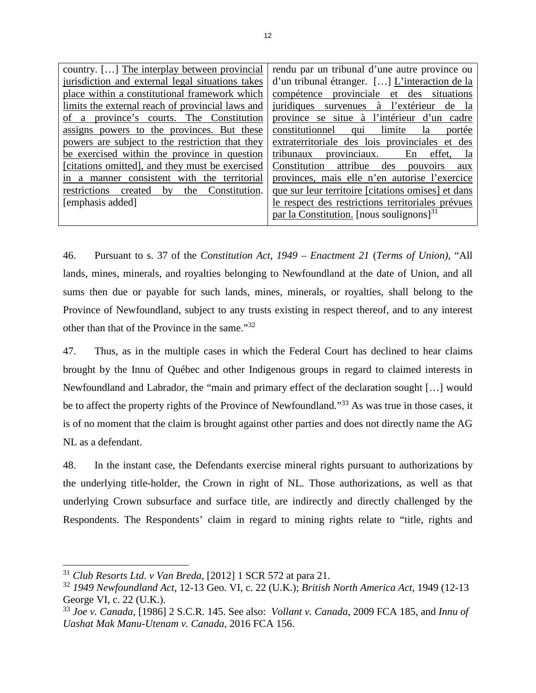| country. [] The interplay between provincial     | rendu par un tribunal d'une autre province ou      |  |
|--------------------------------------------------|----------------------------------------------------|--|
| jurisdiction and external legal situations takes | d'un tribunal étranger. [] L'interaction de la     |  |
| place within a constitutional framework which    | compétence provinciale et des situations           |  |
| limits the external reach of provincial laws and | juridiques survenues à l'extérieur de la           |  |
| of a province's courts. The Constitution         | province se situe à l'intérieur d'un cadre         |  |
| assigns powers to the provinces. But these       | limite la<br>constitutionnel qui<br>portée         |  |
| powers are subject to the restriction that they  | extraterritoriale des lois provinciales et des     |  |
| be exercised within the province in question     | provinciaux. En effet, la<br>tribunaux             |  |
| [citations omitted], and they must be exercised  | Constitution attribue<br>des<br>pouvoirs<br>aux    |  |
| in a manner consistent with the territorial      | provinces, mais elle n'en autorise l'exercice      |  |
| restrictions created by the Constitution.        | que sur leur territoire [citations omises] et dans |  |
| [emphasis added]                                 | le respect des restrictions territoriales prévues  |  |
|                                                  | par la Constitution. [nous soulignons] $31$        |  |
|                                                  |                                                    |  |

46. Pursuant to s. 37 of the *Constitution Act, 1949 – Enactment 21* (*Terms of Union)*, "All lands, mines, minerals, and royalties belonging to Newfoundland at the date of Union, and all sums then due or payable for such lands, mines, minerals, or royalties, shall belong to the Province of Newfoundland, subject to any trusts existing in respect thereof, and to any interest other than that of the Province in the same."[32](#page-16-1)

47. Thus, as in the multiple cases in which the Federal Court has declined to hear claims brought by the Innu of Québec and other Indigenous groups in regard to claimed interests in Newfoundland and Labrador, the "main and primary effect of the declaration sought […] would be to affect the property rights of the Province of Newfoundland."<sup>[33](#page-16-2)</sup> As was true in those cases, it is of no moment that the claim is brought against other parties and does not directly name the AG NL as a defendant.

48. In the instant case, the Defendants exercise mineral rights pursuant to authorizations by the underlying title-holder, the Crown in right of NL. Those authorizations, as well as that underlying Crown subsurface and surface title, are indirectly and directly challenged by the Respondents. The Respondents' claim in regard to mining rights relate to "title, rights and

<span id="page-16-0"></span><sup>31</sup> *Club Resorts Ltd. v Van Breda*, [2012] 1 SCR 572 at para 21.

<span id="page-16-1"></span><sup>32</sup> *1949 Newfoundland Act*, 12-13 Geo. VI, c. 22 (U.K.); *British North America Act*, 1949 (12-13 George VI, c. 22 (U.K.).

<span id="page-16-2"></span><sup>33</sup> *Joe v. Canada*, [1986] 2 S.C.R. 145. See also: *Vollant v. Canada*, 2009 FCA 185, and *Innu of Uashat Mak Manu-Utenam v. Canada*, 2016 FCA 156.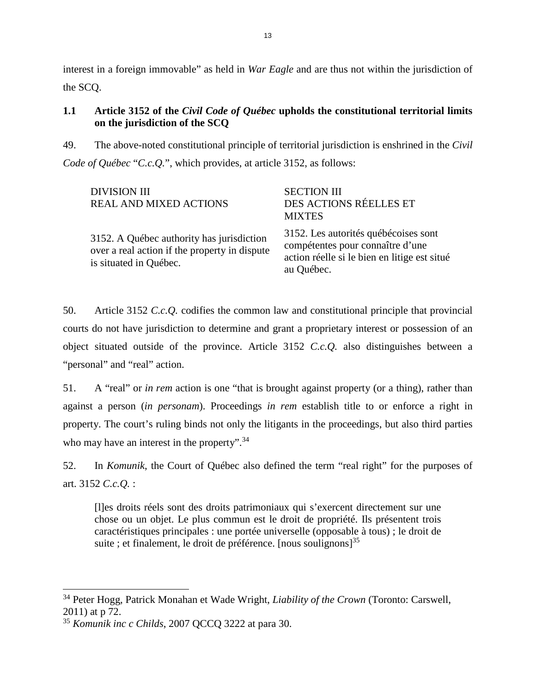interest in a foreign immovable" as held in *War Eagle* and are thus not within the jurisdiction of the SCQ.

# **1.1 Article 3152 of the** *Civil Code of Québec* **upholds the constitutional territorial limits on the jurisdiction of the SCQ**

49. The above-noted constitutional principle of territorial jurisdiction is enshrined in the *Civil Code of Québec* "*C.c.Q.*", which provides, at article 3152, as follows:

| <b>DIVISION III</b><br><b>REAL AND MIXED ACTIONS</b>                                                                 | <b>SECTION III</b><br>DES ACTIONS RÉELLES ET<br><b>MIXTES</b>                                                                          |
|----------------------------------------------------------------------------------------------------------------------|----------------------------------------------------------------------------------------------------------------------------------------|
| 3152. A Québec authority has jurisdiction<br>over a real action if the property in dispute<br>is situated in Québec. | 3152. Les autorités québécoises sont<br>compétentes pour connaître d'une<br>action réelle si le bien en litige est situé<br>au Québec. |

50. Article 3152 *C.c.Q.* codifies the common law and constitutional principle that provincial courts do not have jurisdiction to determine and grant a proprietary interest or possession of an object situated outside of the province. Article 3152 *C.c.Q.* also distinguishes between a "personal" and "real" action.

51. A "real" or *in rem* action is one "that is brought against property (or a thing), rather than against a person (*in personam*). Proceedings *in rem* establish title to or enforce a right in property. The court's ruling binds not only the litigants in the proceedings, but also third parties who may have an interest in the property".<sup>[34](#page-17-0)</sup>

52. In *Komunik*, the Court of Québec also defined the term "real right" for the purposes of art. 3152 *C.c.Q.* :

[l]es droits réels sont des droits patrimoniaux qui s'exercent directement sur une chose ou un objet. Le plus commun est le droit de propriété. Ils présentent trois caractéristiques principales : une portée universelle (opposable à tous) ; le droit de suite ; et finalement, le droit de préférence. [nous soulignons] $^{35}$  $^{35}$  $^{35}$ 

<span id="page-17-0"></span><sup>34</sup> Peter Hogg, Patrick Monahan et Wade Wright, *Liability of the Crown* (Toronto: Carswell, 2011) at p 72.

<span id="page-17-1"></span><sup>35</sup> *Komunik inc c Childs*, 2007 QCCQ 3222 at para 30.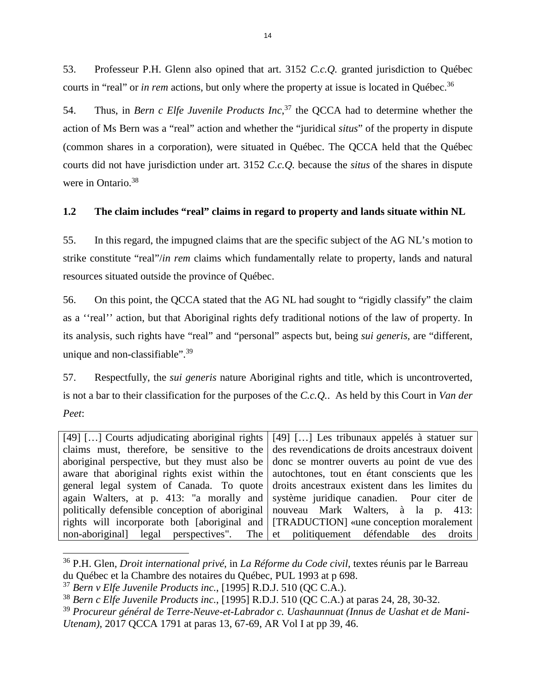53. Professeur P.H. Glenn also opined that art. 3152 *C.c.Q.* granted jurisdiction to Québec courts in "real" or *in rem* actions, but only where the property at issue is located in Québec.<sup>[36](#page-18-0)</sup>

54. Thus, in *Bern c Elfe Juvenile Products Inc*, [37](#page-18-1) the QCCA had to determine whether the action of Ms Bern was a "real" action and whether the "juridical *situs*" of the property in dispute (common shares in a corporation), were situated in Québec. The QCCA held that the Québec courts did not have jurisdiction under art. 3152 *C.c.Q.* because the *situs* of the shares in dispute were in Ontario.<sup>[38](#page-18-2)</sup>

## **1.2 The claim includes "real" claims in regard to property and lands situate within NL**

55. In this regard, the impugned claims that are the specific subject of the AG NL's motion to strike constitute "real"/*in rem* claims which fundamentally relate to property, lands and natural resources situated outside the province of Québec.

56. On this point, the QCCA stated that the AG NL had sought to "rigidly classify" the claim as a ''real'' action, but that Aboriginal rights defy traditional notions of the law of property. In its analysis, such rights have "real" and "personal" aspects but, being *sui generis,* are "different, unique and non-classifiable".<sup>[39](#page-18-3)</sup>

57. Respectfully, the *sui generis* nature Aboriginal rights and title, which is uncontroverted, is not a bar to their classification for the purposes of the *C.c.Q.*. As held by this Court in *Van der Peet*:

[49] [...] Courts adjudicating aboriginal rights claims must, therefore, be sensitive to the aboriginal perspective, but they must also be aware that aboriginal rights exist within the general legal system of Canada. To quote again Walters, at p. 413: "a morally and politically defensible conception of aboriginal rights will incorporate both [aboriginal and non-aboriginal] legal perspectives". The [49] […] Les tribunaux appelés à statuer sur des revendications de droits ancestraux doivent donc se montrer ouverts au point de vue des autochtones, tout en étant conscients que les droits ancestraux existent dans les limites du système juridique canadien. Pour citer de nouveau Mark Walters, à la p. 413: [TRADUCTION] «une conception moralement et politiquement défendable des droits

<span id="page-18-0"></span><sup>36</sup> P.H. Glen, *Droit international privé*, in *La Réforme du Code civil*, textes réunis par le Barreau du Québec et la Chambre des notaires du Québec, PUL 1993 at p 698.

<span id="page-18-1"></span><sup>37</sup> *Bern v Elfe Juvenile Products inc.*, [1995] R.D.J. 510 (QC C.A.).

<span id="page-18-3"></span><span id="page-18-2"></span><sup>38</sup> *Bern c Elfe Juvenile Products inc.*, [1995] R.D.J. 510 (QC C.A.) at paras 24, 28, 30-32.

<sup>39</sup> *Procureur général de Terre-Neuve-et-Labrador c. Uashaunnuat (Innus de Uashat et de Mani-Utenam)*, 2017 QCCA 1791 at paras 13, 67-69, AR Vol I at pp 39, 46.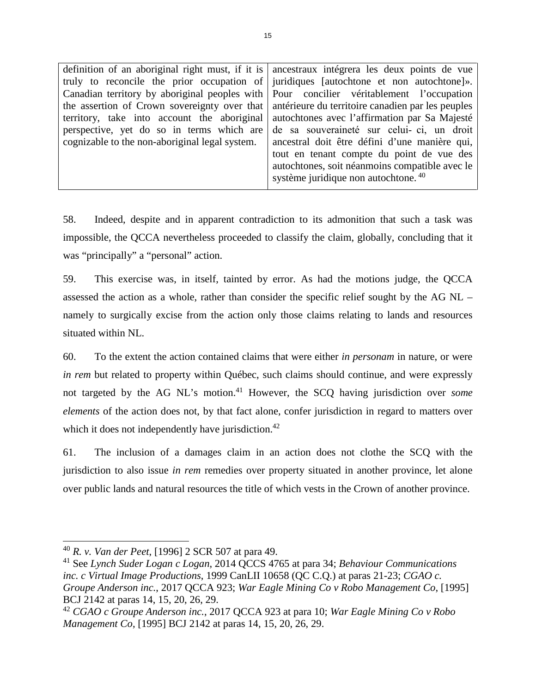| definition of an aboriginal right must, if it is ancestraux intégrera les deux points de vue |                                                                                                |  |
|----------------------------------------------------------------------------------------------|------------------------------------------------------------------------------------------------|--|
|                                                                                              | truly to reconcile the prior occupation of juridiques [autochtone et non autochtone]».         |  |
|                                                                                              | Canadian territory by aboriginal peoples with Pour concilier véritablement l'occupation        |  |
|                                                                                              | the assertion of Crown sovereignty over that anterieure du territoire canadien par les peuples |  |
|                                                                                              | territory, take into account the aboriginal autochtones avec l'affirmation par Sa Majesté      |  |
| perspective, yet do so in terms which are                                                    | de sa souveraineté sur celui-ci, un droit                                                      |  |
| cognizable to the non-aboriginal legal system.                                               | ancestral doit être défini d'une manière qui,                                                  |  |
|                                                                                              | tout en tenant compte du point de vue des                                                      |  |
| autochtones, soit néanmoins compatible avec le                                               |                                                                                                |  |
|                                                                                              | système juridique non autochtone. <sup>40</sup>                                                |  |
|                                                                                              |                                                                                                |  |

58. Indeed, despite and in apparent contradiction to its admonition that such a task was impossible, the QCCA nevertheless proceeded to classify the claim, globally, concluding that it was "principally" a "personal" action.

59. This exercise was, in itself, tainted by error. As had the motions judge, the QCCA assessed the action as a whole, rather than consider the specific relief sought by the AG NL – namely to surgically excise from the action only those claims relating to lands and resources situated within NL.

60. To the extent the action contained claims that were either *in personam* in nature, or were *in rem* but related to property within Québec, such claims should continue, and were expressly not targeted by the AG NL's motion.[41](#page-19-1) However, the SCQ having jurisdiction over *some elements* of the action does not, by that fact alone, confer jurisdiction in regard to matters over which it does not independently have jurisdiction.<sup>[42](#page-19-2)</sup>

61. The inclusion of a damages claim in an action does not clothe the SCQ with the jurisdiction to also issue *in rem* remedies over property situated in another province, let alone over public lands and natural resources the title of which vests in the Crown of another province.

<span id="page-19-0"></span><sup>40</sup> *R. v. Van der Peet*, [1996] 2 SCR 507 at para 49.

<span id="page-19-1"></span><sup>41</sup> See *Lynch Suder Logan c Logan*, 2014 QCCS 4765 at para 34; *Behaviour Communications inc. c Virtual Image Productions*, 1999 CanLII 10658 (QC C.Q.) at paras 21-23; *CGAO c. Groupe Anderson inc.*, 2017 QCCA 923; *War Eagle Mining Co v Robo Management Co*, [1995] BCJ 2142 at paras 14, 15, 20, 26, 29.

<span id="page-19-2"></span><sup>42</sup> *CGAO c Groupe Anderson inc.*, 2017 QCCA 923 at para 10; *War Eagle Mining Co v Robo Management Co*, [1995] BCJ 2142 at paras 14, 15, 20, 26, 29.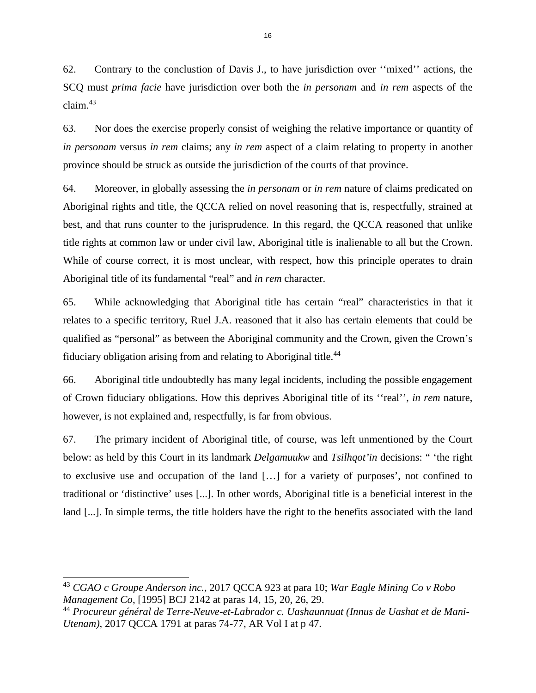62. Contrary to the conclustion of Davis J., to have jurisdiction over ''mixed'' actions, the SCQ must *prima facie* have jurisdiction over both the *in personam* and *in rem* aspects of the claim. $43$ 

63. Nor does the exercise properly consist of weighing the relative importance or quantity of *in personam* versus *in rem* claims; any *in rem* aspect of a claim relating to property in another province should be struck as outside the jurisdiction of the courts of that province.

64. Moreover, in globally assessing the *in personam* or *in rem* nature of claims predicated on Aboriginal rights and title, the QCCA relied on novel reasoning that is, respectfully, strained at best, and that runs counter to the jurisprudence. In this regard, the QCCA reasoned that unlike title rights at common law or under civil law, Aboriginal title is inalienable to all but the Crown. While of course correct, it is most unclear, with respect, how this principle operates to drain Aboriginal title of its fundamental "real" and *in rem* character.

65. While acknowledging that Aboriginal title has certain "real" characteristics in that it relates to a specific territory, Ruel J.A. reasoned that it also has certain elements that could be qualified as "personal" as between the Aboriginal community and the Crown, given the Crown's fiduciary obligation arising from and relating to Aboriginal title.<sup>[44](#page-20-1)</sup>

66. Aboriginal title undoubtedly has many legal incidents, including the possible engagement of Crown fiduciary obligations. How this deprives Aboriginal title of its ''real'', *in rem* nature, however, is not explained and, respectfully, is far from obvious.

67. The primary incident of Aboriginal title, of course, was left unmentioned by the Court below: as held by this Court in its landmark *Delgamuukw* and *Tsilhqot'in* decisions: " 'the right to exclusive use and occupation of the land […] for a variety of purposes', not confined to traditional or 'distinctive' uses [...]. In other words, Aboriginal title is a beneficial interest in the land [...]. In simple terms, the title holders have the right to the benefits associated with the land

<span id="page-20-0"></span><sup>43</sup> *CGAO c Groupe Anderson inc.*, 2017 QCCA 923 at para 10; *War Eagle Mining Co v Robo Management Co*, [1995] BCJ 2142 at paras 14, 15, 20, 26, 29.

<span id="page-20-1"></span><sup>44</sup> *Procureur général de Terre-Neuve-et-Labrador c. Uashaunnuat (Innus de Uashat et de Mani-Utenam)*, 2017 QCCA 1791 at paras 74-77, AR Vol I at p 47.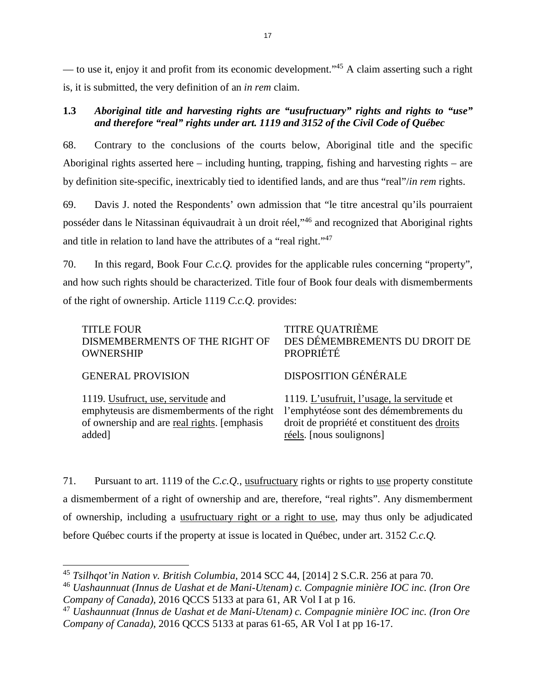— to use it, enjoy it and profit from its economic development."[45](#page-21-0) A claim asserting such a right is, it is submitted, the very definition of an *in rem* claim.

# **1.3** *Aboriginal title and harvesting rights are "usufructuary" rights and rights to "use" and therefore "real" rights under art. 1119 and 3152 of the Civil Code of Québec*

68. Contrary to the conclusions of the courts below, Aboriginal title and the specific Aboriginal rights asserted here – including hunting, trapping, fishing and harvesting rights – are by definition site-specific, inextricably tied to identified lands, and are thus "real"/*in rem* rights.

69. Davis J. noted the Respondents' own admission that "le titre ancestral qu'ils pourraient posséder dans le Nitassinan équivaudrait à un droit réel,"[46](#page-21-1) and recognized that Aboriginal rights and title in relation to land have the attributes of a "real right."[47](#page-21-2)

70. In this regard, Book Four *C.c.Q.* provides for the applicable rules concerning "property", and how such rights should be characterized. Title four of Book four deals with dismemberments of the right of ownership. Article 1119 *C.c.Q.* provides:

| <b>TITLE FOUR</b>                           | <b>TITRE QUATRIÈME</b>                       |
|---------------------------------------------|----------------------------------------------|
| DISMEMBERMENTS OF THE RIGHT OF              | DES DÉMEMBREMENTS DU DROIT DE                |
| <b>OWNERSHIP</b>                            | PROPRIÉTÉ                                    |
| <b>GENERAL PROVISION</b>                    | <b>DISPOSITION GÉNÉRALE</b>                  |
| 1119. Usufruct, use, servitude and          | 1119. L'usufruit, l'usage, la servitude et   |
| emphyteusis are dismemberments of the right | l'emphytéose sont des démembrements du       |
| of ownership and are real rights. [emphasis | droit de propriété et constituent des droits |
| added]                                      | réels. [nous soulignons]                     |

71. Pursuant to art. 1119 of the *C.c.Q.*, usufructuary rights or rights to use property constitute a dismemberment of a right of ownership and are, therefore, "real rights". Any dismemberment of ownership, including a usufructuary right or a right to use, may thus only be adjudicated before Québec courts if the property at issue is located in Québec, under art. 3152 *C.c.Q.*

<span id="page-21-0"></span><sup>45</sup> *Tsilhqot'in Nation v. British Columbia*, 2014 SCC 44, [2014] 2 S.C.R. 256 at para 70.

<span id="page-21-1"></span><sup>46</sup> *Uashaunnuat (Innus de Uashat et de Mani-Utenam) c. Compagnie minière IOC inc. (Iron Ore Company of Canada)*, 2016 QCCS 5133 at para 61, AR Vol I at p 16.

<span id="page-21-2"></span><sup>47</sup> *Uashaunnuat (Innus de Uashat et de Mani-Utenam) c. Compagnie minière IOC inc. (Iron Ore Company of Canada)*, 2016 QCCS 5133 at paras 61-65, AR Vol I at pp 16-17.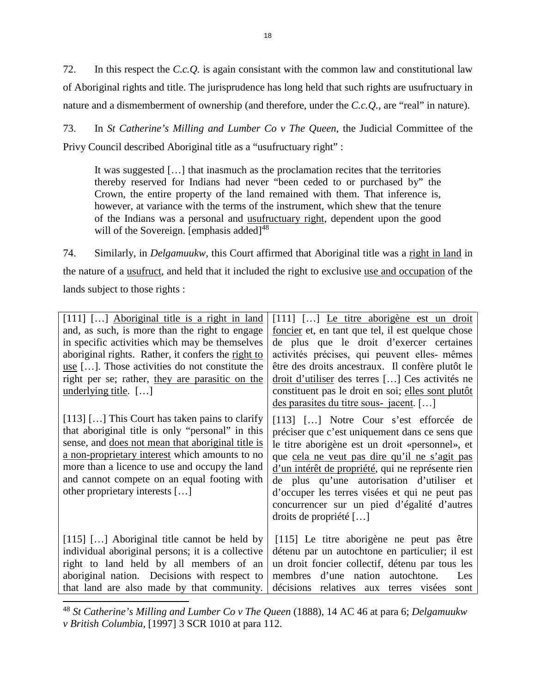72. In this respect the *C.c.Q.* is again consistant with the common law and constitutional law of Aboriginal rights and title. The jurisprudence has long held that such rights are usufructuary in nature and a dismemberment of ownership (and therefore, under the *C.c.Q.*, are "real" in nature).

73. In *St Catherine's Milling and Lumber Co v The Queen*, the Judicial Committee of the Privy Council described Aboriginal title as a "usufructuary right" :

It was suggested […] that inasmuch as the proclamation recites that the territories thereby reserved for Indians had never "been ceded to or purchased by" the Crown, the entire property of the land remained with them. That inference is, however, at variance with the terms of the instrument, which shew that the tenure of the Indians was a personal and usufructuary right, dependent upon the good will of the Sovereign. [emphasis added] $48$ 

74. Similarly, in *Delgamuukw*, this Court affirmed that Aboriginal title was a right in land in the nature of a usufruct, and held that it included the right to exclusive use and occupation of the lands subject to those rights :

| [111] [] Aboriginal title is a right in land<br>and, as such, is more than the right to engage<br>in specific activities which may be themselves<br>aboriginal rights. Rather, it confers the right to<br>use []. Those activities do not constitute the<br>right per se; rather, they are parasitic on the                                           | [111] [] Le titre aborigène est un droit<br>foncier et, en tant que tel, il est quelque chose<br>de plus que le droit d'exercer certaines<br>activités précises, qui peuvent elles-mêmes<br>être des droits ancestraux. Il confère plutôt le<br>droit d'utiliser des terres [] Ces activités ne                                                                                                                          |  |
|-------------------------------------------------------------------------------------------------------------------------------------------------------------------------------------------------------------------------------------------------------------------------------------------------------------------------------------------------------|--------------------------------------------------------------------------------------------------------------------------------------------------------------------------------------------------------------------------------------------------------------------------------------------------------------------------------------------------------------------------------------------------------------------------|--|
| underlying title. $[\dots]$                                                                                                                                                                                                                                                                                                                           | constituent pas le droit en soi; elles sont plutôt                                                                                                                                                                                                                                                                                                                                                                       |  |
|                                                                                                                                                                                                                                                                                                                                                       | des parasites du titre sous-jacent. []                                                                                                                                                                                                                                                                                                                                                                                   |  |
| $[113]$ [] This Court has taken pains to clarify<br>that aboriginal title is only "personal" in this<br>sense, and <u>does not mean that aboriginal title is</u><br>a non-proprietary interest which amounts to no<br>more than a licence to use and occupy the land<br>and cannot compete on an equal footing with<br>other proprietary interests [] | [113] [] Notre Cour s'est efforcée de<br>préciser que c'est uniquement dans ce sens que<br>le titre aborigène est un droit «personnel», et<br>que cela ne veut pas dire qu'il ne s'agit pas<br>d'un intérêt de propriété, qui ne représente rien<br>de plus qu'une autorisation d'utiliser et<br>d'occuper les terres visées et qui ne peut pas<br>concurrencer sur un pied d'égalité d'autres<br>droits de propriété [] |  |
| [115] [] Aboriginal title cannot be held by<br>individual aboriginal persons; it is a collective<br>right to land held by all members of an<br>aboriginal nation. Decisions with respect to<br>that land are also made by that community.                                                                                                             | [115] Le titre aborigène ne peut pas être<br>détenu par un autochtone en particulier; il est<br>un droit foncier collectif, détenu par tous les<br>membres d'une nation autochtone.<br>Les<br>décisions relatives aux terres visées<br>sont                                                                                                                                                                              |  |

<span id="page-22-0"></span><sup>48</sup> *St Catherine's Milling and Lumber Co v The Queen* (1888), 14 AC 46 at para 6; *Delgamuukw v British Columbia*, [1997] 3 SCR 1010 at para 112.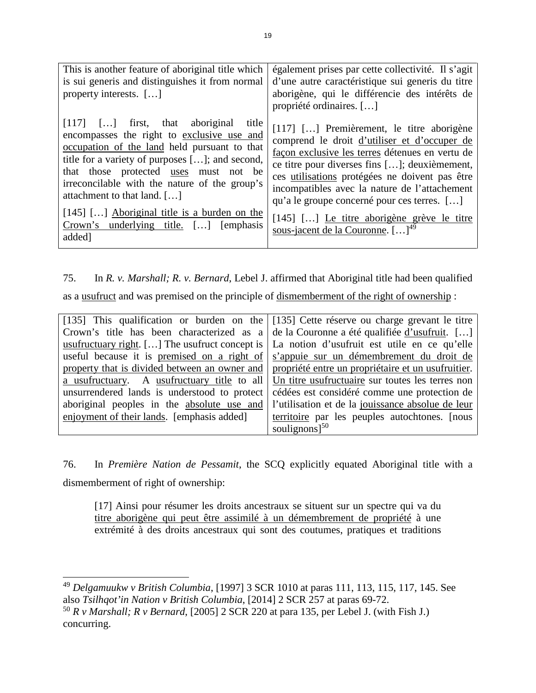| This is another feature of aboriginal title which<br>is sui generis and distinguishes it from normal<br>property interests. []                                                                                                                                                                                      | également prises par cette collectivité. Il s'agit<br>d'une autre caractéristique sui generis du titre<br>aborigène, qui le différencie des intérêts de<br>propriété ordinaires. []                                                                                                                                                             |
|---------------------------------------------------------------------------------------------------------------------------------------------------------------------------------------------------------------------------------------------------------------------------------------------------------------------|-------------------------------------------------------------------------------------------------------------------------------------------------------------------------------------------------------------------------------------------------------------------------------------------------------------------------------------------------|
| $[117]$ $[]$ first, that aboriginal title<br>encompasses the right to exclusive use and<br>occupation of the land held pursuant to that<br>title for a variety of purposes []; and second,<br>that those protected uses must not be<br>irreconcilable with the nature of the group's<br>attachment to that land. [] | [117] [] Premièrement, le titre aborigène<br>comprend le droit d'utiliser et d'occuper de<br>façon exclusive les terres détenues en vertu de<br>ce titre pour diverses fins []; deuxièmement,<br>ces utilisations protégées ne doivent pas être<br>incompatibles avec la nature de l'attachement<br>qu'a le groupe concerné pour ces terres. [] |
| $[145]$ [] Aboriginal title is a burden on the<br>Crown's underlying title. [] [emphasis<br>added]                                                                                                                                                                                                                  | [145] [] Le titre aborigène grève le titre<br>sous-jacent de la Couronne. $[\dots]^{49}$                                                                                                                                                                                                                                                        |

75. In *R. v. Marshall; R. v. Bernard*, Lebel J. affirmed that Aboriginal title had been qualified

as a usufruct and was premised on the principle of dismemberment of the right of ownership :

| [135] This qualification or burden on the [135] Cette réserve ou charge grevant le titre |                                                                                                     |  |
|------------------------------------------------------------------------------------------|-----------------------------------------------------------------------------------------------------|--|
|                                                                                          | Crown's title has been characterized as a $\alpha$ de la Couronne a été qualifiée d'usufruit. []    |  |
|                                                                                          | usufructuary right. [] The usufruct concept is $\vert$ La notion d'usufruit est utile en ce qu'elle |  |
|                                                                                          | useful because it is premised on a right of s'appuie sur un démembrement du droit de                |  |
|                                                                                          | property that is divided between an owner and propriété entre un propriétaire et un usufruitier.    |  |
|                                                                                          | a usufructuary. A usufructuary title to all Un titre usufructuaire sur toutes les terres non        |  |
|                                                                                          | unsurrendered lands is understood to protect cédées est considéré comme une protection de           |  |
|                                                                                          | aboriginal peoples in the absolute use and l'utilisation et de la jouissance absolue de leur        |  |
| enjoyment of their lands. [emphasis added]                                               | territoire par les peuples autochtones. [nous                                                       |  |
|                                                                                          | soulignons $]^{50}$                                                                                 |  |

76. In *Première Nation de Pessamit*, the SCQ explicitly equated Aboriginal title with a dismemberment of right of ownership:

[17] Ainsi pour résumer les droits ancestraux se situent sur un spectre qui va du titre aborigène qui peut être assimilé à un démembrement de propriété à une extrémité à des droits ancestraux qui sont des coutumes, pratiques et traditions

<span id="page-23-0"></span><sup>49</sup> *Delgamuukw v British Columbia*, [1997] 3 SCR 1010 at paras 111, 113, 115, 117, 145. See also *Tsilhqot'in Nation v British Columbia*, [2014] 2 SCR 257 at paras 69-72.

<span id="page-23-1"></span><sup>50</sup> *R v Marshall; R v Bernard*, [2005] 2 SCR 220 at para 135, per Lebel J. (with Fish J.) concurring.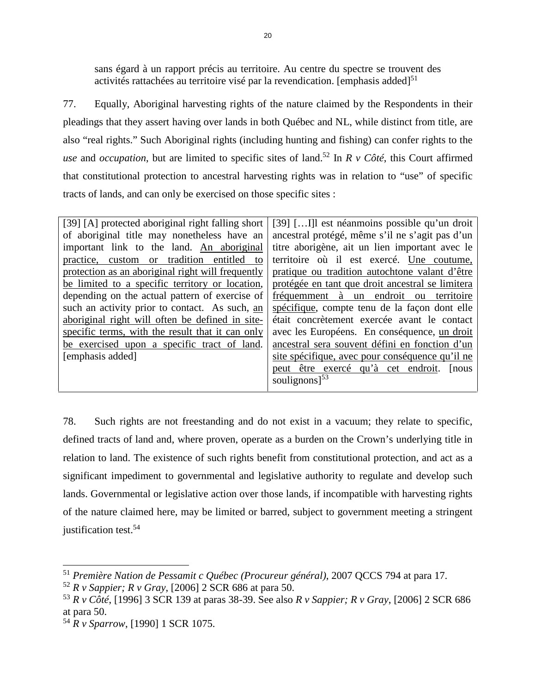sans égard à un rapport précis au territoire. Au centre du spectre se trouvent des activités rattachées au territoire visé par la revendication. [emphasis added] $51$ 

77. Equally, Aboriginal harvesting rights of the nature claimed by the Respondents in their pleadings that they assert having over lands in both Québec and NL, while distinct from title, are also "real rights." Such Aboriginal rights (including hunting and fishing) can confer rights to the *use* and *occupation*, but are limited to specific sites of land.<sup>[52](#page-24-1)</sup> In  $R$  v Côté, this Court affirmed that constitutional protection to ancestral harvesting rights was in relation to "use" of specific tracts of lands, and can only be exercised on those specific sites :

| [39] [A] protected aboriginal right falling short | [39] [] est néanmoins possible qu'un droit       |  |  |
|---------------------------------------------------|--------------------------------------------------|--|--|
| of aboriginal title may nonetheless have an       | ancestral protégé, même s'il ne s'agit pas d'un  |  |  |
| important link to the land. An aboriginal         | titre aborigène, ait un lien important avec le   |  |  |
| practice, custom or tradition entitled to         | territoire où il est exercé. Une coutume,        |  |  |
| protection as an aboriginal right will frequently | pratique ou tradition autochtone valant d'être   |  |  |
| be limited to a specific territory or location,   | protégée en tant que droit ancestral se limitera |  |  |
| depending on the actual pattern of exercise of    | fréquemment à un endroit ou<br>territoire        |  |  |
| such an activity prior to contact. As such, an    | spécifique, compte tenu de la façon dont elle    |  |  |
| aboriginal right will often be defined in site-   | était concrètement exercée avant le contact      |  |  |
| specific terms, with the result that it can only  | avec les Européens. En conséquence, un droit     |  |  |
| be exercised upon a specific tract of land.       | ancestral sera souvent défini en fonction d'un   |  |  |
| [emphasis added]                                  | site spécifique, avec pour conséquence qu'il ne  |  |  |
|                                                   | peut être exercé qu'à cet endroit. [nous         |  |  |
|                                                   | soulignons] $53$                                 |  |  |
|                                                   |                                                  |  |  |

78. Such rights are not freestanding and do not exist in a vacuum; they relate to specific, defined tracts of land and, where proven, operate as a burden on the Crown's underlying title in relation to land. The existence of such rights benefit from constitutional protection, and act as a significant impediment to governmental and legislative authority to regulate and develop such lands. Governmental or legislative action over those lands, if incompatible with harvesting rights of the nature claimed here, may be limited or barred, subject to government meeting a stringent justification test[.](#page-24-3)<sup>54</sup>

<span id="page-24-0"></span><sup>51</sup> *Première Nation de Pessamit c Québec (Procureur général)*, 2007 QCCS 794 at para 17.

<span id="page-24-1"></span><sup>52</sup> *R v Sappier; R v Gray*, [2006] 2 SCR 686 at para 50.

<span id="page-24-2"></span><sup>53</sup> *R v Côté*, [1996] 3 SCR 139 at paras 38-39. See also *R v Sappier; R v Gray*, [2006] 2 SCR 686 at para 50.

<span id="page-24-3"></span><sup>54</sup> *R v Sparrow*, [1990] 1 SCR 1075.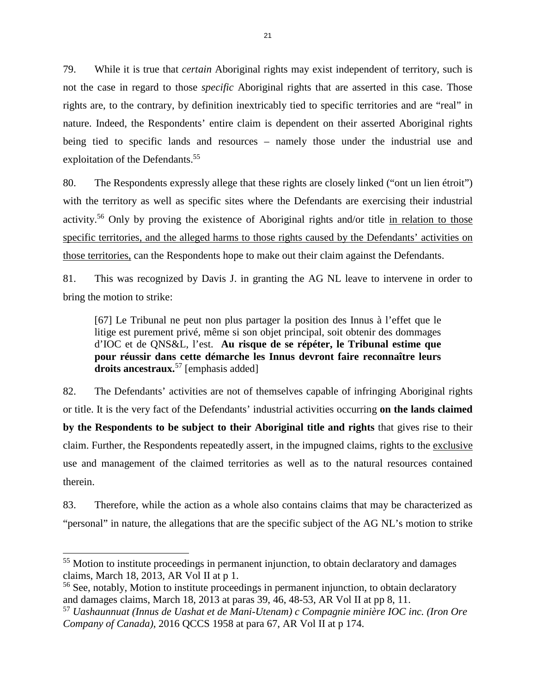79. While it is true that *certain* Aboriginal rights may exist independent of territory, such is not the case in regard to those *specific* Aboriginal rights that are asserted in this case. Those rights are, to the contrary, by definition inextricably tied to specific territories and are "real" in nature. Indeed, the Respondents' entire claim is dependent on their asserted Aboriginal rights being tied to specific lands and resources – namely those under the industrial use and exploitation of the Defendants.<sup>[55](#page-25-0)</sup>

80. The Respondents expressly allege that these rights are closely linked ("ont un lien étroit") with the territory as well as specific sites where the Defendants are exercising their industrial activity.<sup>[56](#page-25-1)</sup> Only by proving the existence of Aboriginal rights and/or title in relation to those specific territories, and the alleged harms to those rights caused by the Defendants' activities on those territories, can the Respondents hope to make out their claim against the Defendants.

81. This was recognized by Davis J. in granting the AG NL leave to intervene in order to bring the motion to strike:

[67] Le Tribunal ne peut non plus partager la position des Innus à l'effet que le litige est purement privé, même si son objet principal, soit obtenir des dommages d'IOC et de QNS&L, l'est. **Au risque de se répéter, le Tribunal estime que pour réussir dans cette démarche les Innus devront faire reconnaître leurs droits ancestraux.**[57](#page-25-2) [emphasis added]

82. The Defendants' activities are not of themselves capable of infringing Aboriginal rights or title. It is the very fact of the Defendants' industrial activities occurring **on the lands claimed by the Respondents to be subject to their Aboriginal title and rights** that gives rise to their claim. Further, the Respondents repeatedly assert, in the impugned claims, rights to the exclusive use and management of the claimed territories as well as to the natural resources contained therein.

83. Therefore, while the action as a whole also contains claims that may be characterized as "personal" in nature, the allegations that are the specific subject of the AG NL's motion to strike

<span id="page-25-0"></span><sup>&</sup>lt;sup>55</sup> Motion to institute proceedings in permanent injunction, to obtain declaratory and damages claims, March 18, 2013, AR Vol II at p 1.

<span id="page-25-1"></span><sup>&</sup>lt;sup>56</sup> See, notably, Motion to institute proceedings in permanent injunction, to obtain declaratory and damages claims, March 18, 2013 at paras 39, 46, 48-53, AR Vol II at pp 8, 11.

<span id="page-25-2"></span><sup>57</sup> *Uashaunnuat (Innus de Uashat et de Mani-Utenam) c Compagnie minière IOC inc. (Iron Ore Company of Canada)*, 2016 QCCS 1958 at para 67, AR Vol II at p 174.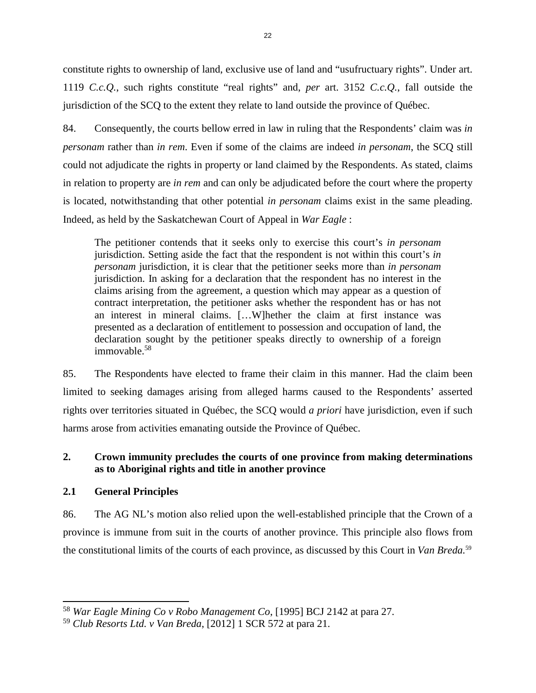constitute rights to ownership of land, exclusive use of land and "usufructuary rights". Under art. 1119 *C.c.Q.*, such rights constitute "real rights" and, *per* art. 3152 *C.c.Q.*, fall outside the jurisdiction of the SCQ to the extent they relate to land outside the province of Québec.

84. Consequently, the courts bellow erred in law in ruling that the Respondents' claim was *in personam* rather than *in rem*. Even if some of the claims are indeed *in personam*, the SCQ still could not adjudicate the rights in property or land claimed by the Respondents. As stated, claims in relation to property are *in rem* and can only be adjudicated before the court where the property is located, notwithstanding that other potential *in personam* claims exist in the same pleading. Indeed, as held by the Saskatchewan Court of Appeal in *War Eagle* :

The petitioner contends that it seeks only to exercise this court's *in personam*  jurisdiction. Setting aside the fact that the respondent is not within this court's *in personam* jurisdiction, it is clear that the petitioner seeks more than *in personam* jurisdiction. In asking for a declaration that the respondent has no interest in the claims arising from the agreement, a question which may appear as a question of contract interpretation, the petitioner asks whether the respondent has or has not an interest in mineral claims. […W]hether the claim at first instance was presented as a declaration of entitlement to possession and occupation of land, the declaration sought by the petitioner speaks directly to ownership of a foreign immovable $58$ 

85. The Respondents have elected to frame their claim in this manner. Had the claim been limited to seeking damages arising from alleged harms caused to the Respondents' asserted rights over territories situated in Québec, the SCQ would *a priori* have jurisdiction, even if such harms arose from activities emanating outside the Province of Québec.

# **2. Crown immunity precludes the courts of one province from making determinations as to Aboriginal rights and title in another province**

# **2.1 General Principles**

86. The AG NL's motion also relied upon the well-established principle that the Crown of a province is immune from suit in the courts of another province. This principle also flows from the constitutional limits of the courts of each province, as discussed by this Court in *Van Breda.*[59](#page-26-1)

<span id="page-26-0"></span><sup>58</sup> *War Eagle Mining Co v Robo Management Co*, [1995] BCJ 2142 at para 27.

<span id="page-26-1"></span><sup>59</sup> *Club Resorts Ltd. v Van Breda*, [2012] 1 SCR 572 at para 21.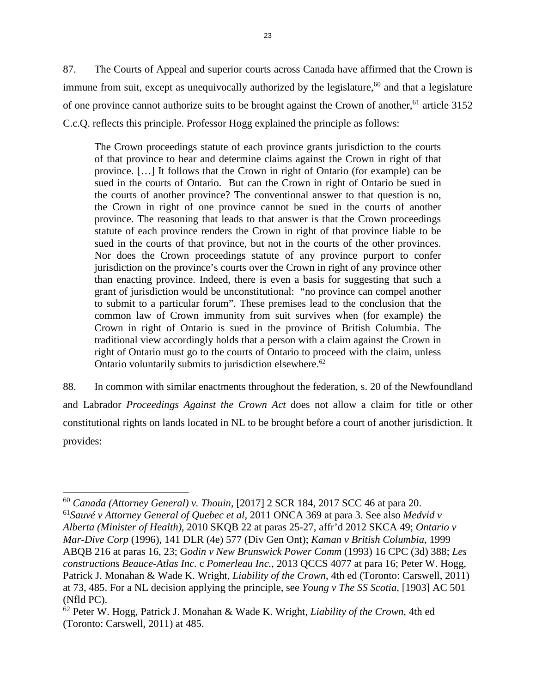87. The Courts of Appeal and superior courts across Canada have affirmed that the Crown is immune from suit, except as unequivocally authorized by the legislature,  $60$  and that a legislature of one province cannot authorize suits to be brought against the Crown of another,<sup>[61](#page-27-1)</sup> article 3152 C.c.Q. reflects this principle. Professor Hogg explained the principle as follows:

The Crown proceedings statute of each province grants jurisdiction to the courts of that province to hear and determine claims against the Crown in right of that province. […] It follows that the Crown in right of Ontario (for example) can be sued in the courts of Ontario. But can the Crown in right of Ontario be sued in the courts of another province? The conventional answer to that question is no, the Crown in right of one province cannot be sued in the courts of another province. The reasoning that leads to that answer is that the Crown proceedings statute of each province renders the Crown in right of that province liable to be sued in the courts of that province, but not in the courts of the other provinces. Nor does the Crown proceedings statute of any province purport to confer jurisdiction on the province's courts over the Crown in right of any province other than enacting province. Indeed, there is even a basis for suggesting that such a grant of jurisdiction would be unconstitutional: "no province can compel another to submit to a particular forum". These premises lead to the conclusion that the common law of Crown immunity from suit survives when (for example) the Crown in right of Ontario is sued in the province of British Columbia. The traditional view accordingly holds that a person with a claim against the Crown in right of Ontario must go to the courts of Ontario to proceed with the claim, unless Ontario voluntarily submits to jurisdiction elsewhere.<sup>[62](#page-27-2)</sup>

88. In common with similar enactments throughout the federation, s. 20 of the Newfoundland and Labrador *Proceedings Against the Crown Act* does not allow a claim for title or other constitutional rights on lands located in NL to be brought before a court of another jurisdiction. It provides:

<span id="page-27-1"></span><span id="page-27-0"></span><sup>60</sup> *Canada (Attorney General) v. Thouin*, [2017] 2 SCR 184, 2017 SCC 46 at para 20. <sup>61</sup>*Sauvé v Attorney General of Quebec et al*, 2011 ONCA 369 at para 3. See also *Medvid v Alberta (Minister of Health)*, 2010 SKQB 22 at paras 25-27, affr'd 2012 SKCA 49; *Ontario v Mar-Dive Corp* (1996), 141 DLR (4e) 577 (Div Gen Ont); *Kaman v British Columbia*, 1999 ABQB 216 at paras 16, 23; G*odin v New Brunswick Power Comm* (1993) 16 CPC (3d) 388; *Les constructions Beauce-Atlas Inc.* c *Pomerleau Inc.*, 2013 QCCS 4077 at para 16; Peter W. Hogg, Patrick J. Monahan & Wade K. Wright, *Liability of the Crown*, 4th ed (Toronto: Carswell, 2011) at 73, 485. For a NL decision applying the principle, see *Young v The SS Scotia*, [1903] AC 501 (Nfld PC).

<span id="page-27-2"></span><sup>62</sup> Peter W. Hogg, Patrick J. Monahan & Wade K. Wright, *Liability of the Crown*, 4th ed (Toronto: Carswell, 2011) at 485.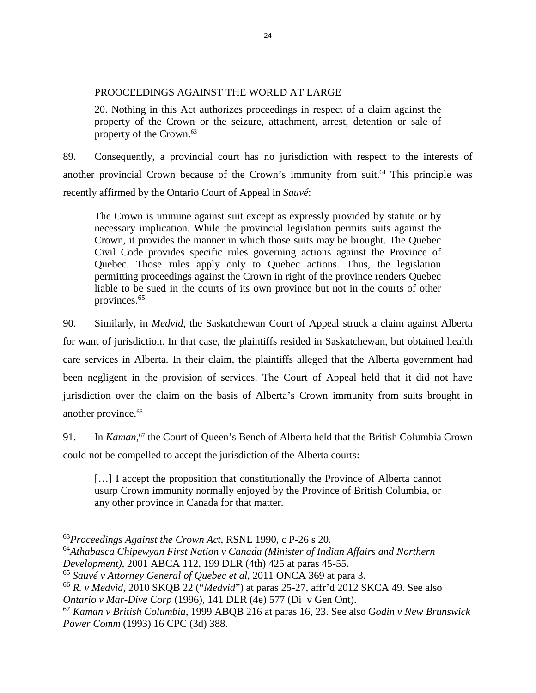### PROOCEEDINGS AGAINST THE WORLD AT LARGE

20. Nothing in this Act authorizes proceedings in respect of a claim against the property of the Crown or the seizure, attachment, arrest, detention or sale of property of the Crown.[63](#page-28-0)

89. Consequently, a provincial court has no jurisdiction with respect to the interests of another provincial Crown because of the Crown's immunity from suit.<sup> $64$ </sup> This principle was recently affirmed by the Ontario Court of Appeal in *Sauvé*:

The Crown is immune against suit except as expressly provided by statute or by necessary implication. While the provincial legislation permits suits against the Crown, it provides the manner in which those suits may be brought. The Quebec Civil Code provides specific rules governing actions against the Province of Quebec. Those rules apply only to Quebec actions. Thus, the legislation permitting proceedings against the Crown in right of the province renders Quebec liable to be sued in the courts of its own province but not in the courts of other provinces.[65](#page-28-2)

90. Similarly, in *Medvid*, the Saskatchewan Court of Appeal struck a claim against Alberta for want of jurisdiction. In that case, the plaintiffs resided in Saskatchewan, but obtained health care services in Alberta. In their claim, the plaintiffs alleged that the Alberta government had been negligent in the provision of services. The Court of Appeal held that it did not have jurisdiction over the claim on the basis of Alberta's Crown immunity from suits brought in another province.<sup>[66](#page-28-3)</sup>

91. In *Kaman*,<sup>[67](#page-28-4)</sup> the Court of Queen's Bench of Alberta held that the British Columbia Crown could not be compelled to accept the jurisdiction of the Alberta courts:

[...] I accept the proposition that constitutionally the Province of Alberta cannot usurp Crown immunity normally enjoyed by the Province of British Columbia, or any other province in Canada for that matter.

<span id="page-28-0"></span><sup>63</sup>*Proceedings Against the Crown Act*, RSNL 1990, c P-26 s 20.

<span id="page-28-1"></span><sup>64</sup>*Athabasca Chipewyan First Nation v Canada (Minister of Indian Affairs and Northern Development)*, 2001 ABCA 112, 199 DLR (4th) 425 at paras 45-55.

<span id="page-28-2"></span><sup>65</sup> *Sauvé v Attorney General of Quebec et al*, 2011 ONCA 369 at para 3.

<span id="page-28-3"></span><sup>66</sup> *R. v Medvid*, 2010 SKQB 22 ("*Medvid*") at paras 25-27, affr'd 2012 SKCA 49. See also *Ontario v Mar-Dive Corp* (1996), 141 DLR (4e) 577 (Di v Gen Ont).

<span id="page-28-4"></span><sup>67</sup> *Kaman v British Columbia*, 1999 ABQB 216 at paras 16, 23. See also G*odin v New Brunswick Power Comm* (1993) 16 CPC (3d) 388.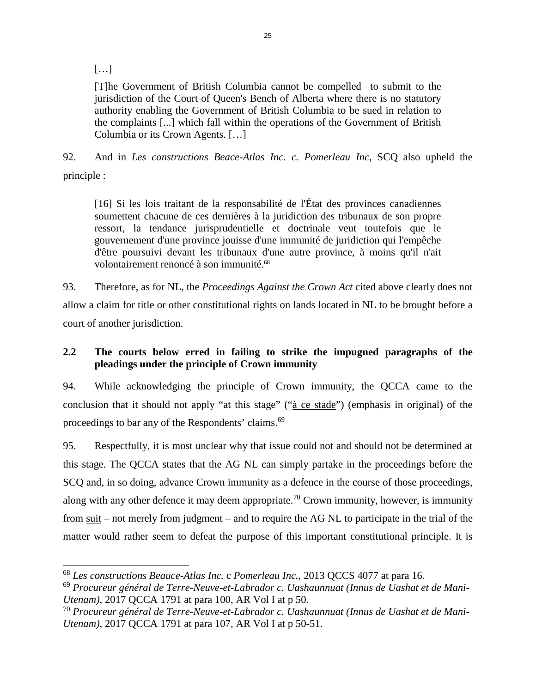$[...]$ 

[T]he Government of British Columbia cannot be compelled to submit to the jurisdiction of the Court of Queen's Bench of Alberta where there is no statutory authority enabling the Government of British Columbia to be sued in relation to the complaints [...] which fall within the operations of the Government of British Columbia or its Crown Agents. […]

92. And in *Les constructions Beace-Atlas Inc. c. Pomerleau Inc*, SCQ also upheld the

principle :

[16] Si les lois traitant de la responsabilité de l'État des provinces canadiennes soumettent chacune de ces dernières à la juridiction des tribunaux de son propre ressort, la tendance jurisprudentielle et doctrinale veut toutefois que le gouvernement d'une province jouisse d'une immunité de juridiction qui l'empêche d'être poursuivi devant les tribunaux d'une autre province, à moins qu'il n'ait volontairement renoncé à son immunité.<sup>[68](#page-29-0)</sup>

93. Therefore, as for NL, the *Proceedings Against the Crown Act* cited above clearly does not allow a claim for title or other constitutional rights on lands located in NL to be brought before a court of another jurisdiction.

# **2.2 The courts below erred in failing to strike the impugned paragraphs of the pleadings under the principle of Crown immunity**

94. While acknowledging the principle of Crown immunity, the QCCA came to the conclusion that it should not apply "at this stage" ("à ce stade") (emphasis in original) of the proceedings to bar any of the Respondents' claims.<sup>[69](#page-29-1)</sup>

95. Respectfully, it is most unclear why that issue could not and should not be determined at this stage. The QCCA states that the AG NL can simply partake in the proceedings before the SCQ and, in so doing, advance Crown immunity as a defence in the course of those proceedings, along with any other defence it may deem appropriate.<sup>[70](#page-29-2)</sup> Crown immunity, however, is immunity from suit – not merely from judgment – and to require the AG NL to participate in the trial of the matter would rather seem to defeat the purpose of this important constitutional principle. It is

<span id="page-29-0"></span><sup>68</sup> *Les constructions Beauce-Atlas Inc.* c *Pomerleau Inc.*, 2013 QCCS 4077 at para 16.

<span id="page-29-1"></span><sup>69</sup> *Procureur général de Terre-Neuve-et-Labrador c. Uashaunnuat (Innus de Uashat et de Mani-Utenam)*, 2017 QCCA 1791 at para 100, AR Vol I at p 50.

<span id="page-29-2"></span><sup>70</sup> *Procureur général de Terre-Neuve-et-Labrador c. Uashaunnuat (Innus de Uashat et de Mani-Utenam)*, 2017 QCCA 1791 at para 107, AR Vol I at p 50-51.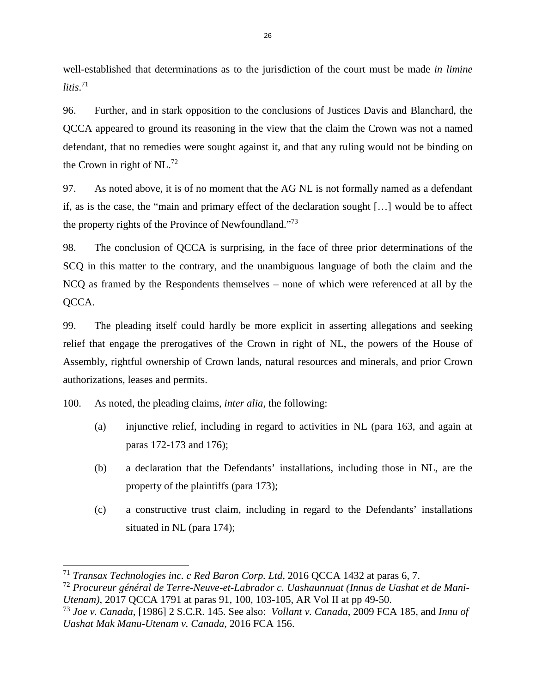well-established that determinations as to the jurisdiction of the court must be made *in limine litis*. [71](#page-30-0)

96. Further, and in stark opposition to the conclusions of Justices Davis and Blanchard, the QCCA appeared to ground its reasoning in the view that the claim the Crown was not a named defendant, that no remedies were sought against it, and that any ruling would not be binding on the Crown in right of  $NL^{72}$  $NL^{72}$  $NL^{72}$ 

97. As noted above, it is of no moment that the AG NL is not formally named as a defendant if, as is the case, the "main and primary effect of the declaration sought […] would be to affect the property rights of the Province of Newfoundland."[73](#page-30-2)

98. The conclusion of QCCA is surprising, in the face of three prior determinations of the SCQ in this matter to the contrary, and the unambiguous language of both the claim and the NCQ as framed by the Respondents themselves – none of which were referenced at all by the QCCA.

99. The pleading itself could hardly be more explicit in asserting allegations and seeking relief that engage the prerogatives of the Crown in right of NL, the powers of the House of Assembly, rightful ownership of Crown lands, natural resources and minerals, and prior Crown authorizations, leases and permits.

100. As noted, the pleading claims, *inter alia,* the following:

- (a) injunctive relief, including in regard to activities in NL (para 163, and again at paras 172-173 and 176);
- (b) a declaration that the Defendants' installations, including those in NL, are the property of the plaintiffs (para 173);
- (c) a constructive trust claim, including in regard to the Defendants' installations situated in NL (para 174);

<span id="page-30-0"></span><sup>71</sup> *Transax Technologies inc. c Red Baron Corp. Ltd*, 2016 QCCA 1432 at paras 6, 7.

<span id="page-30-1"></span><sup>72</sup> *Procureur général de Terre-Neuve-et-Labrador c. Uashaunnuat (Innus de Uashat et de Mani-Utenam)*, 2017 QCCA 1791 at paras 91, 100, 103-105, AR Vol II at pp 49-50.

<span id="page-30-2"></span><sup>73</sup> *Joe v. Canada*, [1986] 2 S.C.R. 145. See also: *Vollant v. Canada*, 2009 FCA 185, and *Innu of Uashat Mak Manu-Utenam v. Canada*, 2016 FCA 156.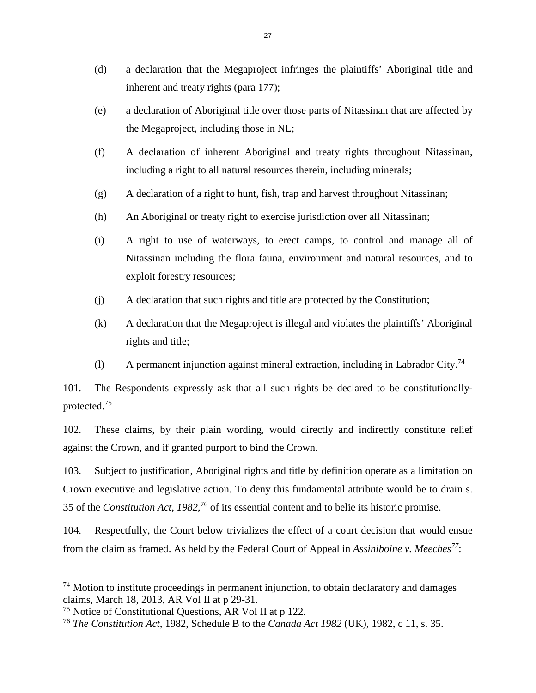- (d) a declaration that the Megaproject infringes the plaintiffs' Aboriginal title and inherent and treaty rights (para 177);
- (e) a declaration of Aboriginal title over those parts of Nitassinan that are affected by the Megaproject, including those in NL;
- (f) A declaration of inherent Aboriginal and treaty rights throughout Nitassinan, including a right to all natural resources therein, including minerals;
- (g) A declaration of a right to hunt, fish, trap and harvest throughout Nitassinan;
- (h) An Aboriginal or treaty right to exercise jurisdiction over all Nitassinan;
- (i) A right to use of waterways, to erect camps, to control and manage all of Nitassinan including the flora fauna, environment and natural resources, and to exploit forestry resources;
- (j) A declaration that such rights and title are protected by the Constitution;
- (k) A declaration that the Megaproject is illegal and violates the plaintiffs' Aboriginal rights and title;
- (l) A permanent injunction against mineral extraction, including in Labrador City.<sup>[74](#page-31-0)</sup>

101. The Respondents expressly ask that all such rights be declared to be constitutionallyprotected.[75](#page-31-1)

102. These claims, by their plain wording, would directly and indirectly constitute relief against the Crown, and if granted purport to bind the Crown.

103. Subject to justification, Aboriginal rights and title by definition operate as a limitation on Crown executive and legislative action. To deny this fundamental attribute would be to drain s. 35 of the *Constitution Act, 1982*, [76](#page-31-2) of its essential content and to belie its historic promise.

104. Respectfully, the Court below trivializes the effect of a court decision that would ensue from the claim as framed. As held by the Federal Court of Appeal in *Assiniboine v. Meeches[77](#page-31-3)*:

<span id="page-31-0"></span> $74$  Motion to institute proceedings in permanent injunction, to obtain declaratory and damages claims, March 18, 2013, AR Vol II at p 29-31.

<span id="page-31-2"></span><span id="page-31-1"></span><sup>75</sup> Notice of Constitutional Questions, AR Vol II at p 122.

<span id="page-31-3"></span><sup>76</sup> *The Constitution Act*, 1982, Schedule B to the *Canada Act 1982* (UK), 1982, c 11, s. 35.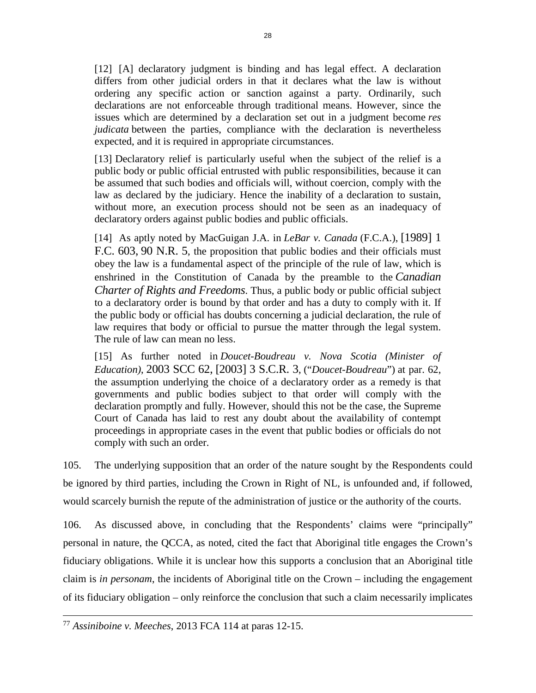[12] [A] declaratory judgment is binding and has legal effect. A declaration differs from other judicial orders in that it declares what the law is without ordering any specific action or sanction against a party. Ordinarily, such declarations are not enforceable through traditional means. However, since the issues which are determined by a declaration set out in a judgment become *res judicata* between the parties, compliance with the declaration is nevertheless expected, and it is required in appropriate circumstances.

[13] Declaratory relief is particularly useful when the subject of the relief is a public body or public official entrusted with public responsibilities, because it can be assumed that such bodies and officials will, without coercion, comply with the law as declared by the judiciary. Hence the inability of a declaration to sustain, without more, an execution process should not be seen as an inadequacy of declaratory orders against public bodies and public officials.

[14] As aptly noted by MacGuigan J.A. in *LeBar v. Canada* (F.C.A.), [1989] 1 F.C. 603, 90 N.R. 5, the proposition that public bodies and their officials must obey the law is a fundamental aspect of the principle of the rule of law, which is enshrined in the Constitution of Canada by the preamble to the *[Canadian](https://www.canlii.org/en/ca/laws/stat/schedule-b-to-the-canada-act-1982-uk-1982-c-11/latest/schedule-b-to-the-canada-act-1982-uk-1982-c-11.html) Charter of Rights and Freedoms*[. Thus, a public body or public official subject](https://www.canlii.org/en/ca/laws/stat/schedule-b-to-the-canada-act-1982-uk-1982-c-11/latest/schedule-b-to-the-canada-act-1982-uk-1982-c-11.html)  to a declaratory order is bound by that order and has a duty to comply with it. If the public body or official has doubts concerning a judicial declaration, the rule of law requires that body or official to pursue the matter through the legal system. The rule of law can mean no less.

[15] As further noted in *Doucet-Boudreau v. Nova Scotia (Minister of Education)*, 2003 SCC 62, [2003] 3 S.C.R. 3, ("*Doucet-Boudreau*") at par. 62, the assumption underlying the choice of a declaratory order as a remedy is that governments and public bodies subject to that order will comply with the declaration promptly and fully. However, should this not be the case, the Supreme Court of Canada has laid to rest any doubt about the availability of contempt proceedings in appropriate cases in the event that public bodies or officials do not comply with such an order.

105. The underlying supposition that an order of the nature sought by the Respondents could be ignored by third parties, including the Crown in Right of NL, is unfounded and, if followed, would scarcely burnish the repute of the administration of justice or the authority of the courts.

106. As discussed above, in concluding that the Respondents' claims were "principally" personal in nature, the QCCA, as noted, cited the fact that Aboriginal title engages the Crown's fiduciary obligations. While it is unclear how this supports a conclusion that an Aboriginal title claim is *in personam*, the incidents of Aboriginal title on the Crown – including the engagement of its fiduciary obligation – only reinforce the conclusion that such a claim necessarily implicates

<sup>77</sup> *Assiniboine v. Meeches*, 2013 FCA 114 at paras 12-15.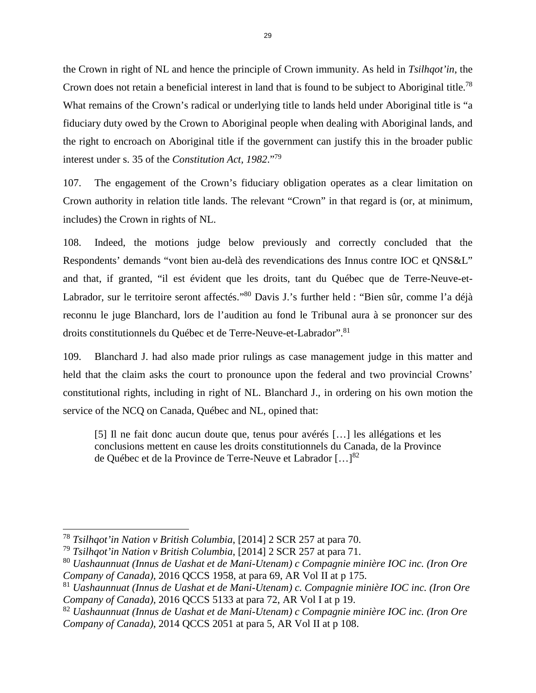the Crown in right of NL and hence the principle of Crown immunity. As held in *Tsilhqot'in*, the Crown does not retain a beneficial interest in land that is found to be subject to Aboriginal title.<sup>[78](#page-33-0)</sup> What remains of the Crown's radical or underlying title to lands held under Aboriginal title is "a fiduciary duty owed by the Crown to Aboriginal people when dealing with Aboriginal lands, and the right to encroach on Aboriginal title if the government can justify this in the broader public interest under s. 35 of the *Constitution Act, 1982*."[79](#page-33-1)

107. The engagement of the Crown's fiduciary obligation operates as a clear limitation on Crown authority in relation title lands. The relevant "Crown" in that regard is (or, at minimum, includes) the Crown in rights of NL.

108. Indeed, the motions judge below previously and correctly concluded that the Respondents' demands "vont bien au-delà des revendications des Innus contre IOC et QNS&L" and that, if granted, "il est évident que les droits, tant du Québec que de Terre-Neuve-et-Labrador, sur le territoire seront affectés."<sup>[80](#page-33-2)</sup> Davis J.'s further held : "Bien sûr, comme l'a déjà reconnu le juge Blanchard, lors de l'audition au fond le Tribunal aura à se prononcer sur des droits constitutionnels du Québec et de Terre-Neuve-et-Labrador". [81](#page-33-3)

109. Blanchard J. had also made prior rulings as case management judge in this matter and held that the claim asks the court to pronounce upon the federal and two provincial Crowns' constitutional rights, including in right of NL. Blanchard J., in ordering on his own motion the service of the NCQ on Canada, Québec and NL, opined that:

[5] Il ne fait donc aucun doute que, tenus pour avérés […] les allégations et les conclusions mettent en cause les droits constitutionnels du Canada, de la Province de Québec et de la Province de Terre-Neuve et Labrador  $[...]^{82}$  $[...]^{82}$  $[...]^{82}$ 

<span id="page-33-0"></span><sup>78</sup> *Tsilhqot'in Nation v British Columbia*, [2014] 2 SCR 257 at para 70.

<span id="page-33-2"></span><span id="page-33-1"></span><sup>79</sup> *Tsilhqot'in Nation v British Columbia*, [2014] 2 SCR 257 at para 71.

<sup>80</sup> *Uashaunnuat (Innus de Uashat et de Mani-Utenam) c Compagnie minière IOC inc. (Iron Ore Company of Canada)*, 2016 QCCS 1958, at para 69, AR Vol II at p 175.

<span id="page-33-3"></span><sup>81</sup> *Uashaunnuat (Innus de Uashat et de Mani-Utenam) c. Compagnie minière IOC inc. (Iron Ore Company of Canada)*, 2016 QCCS 5133 at para 72, AR Vol I at p 19.

<span id="page-33-4"></span><sup>82</sup> *Uashaunnuat (Innus de Uashat et de Mani-Utenam) c Compagnie minière IOC inc. (Iron Ore Company of Canada)*, 2014 QCCS 2051 at para 5, AR Vol II at p 108.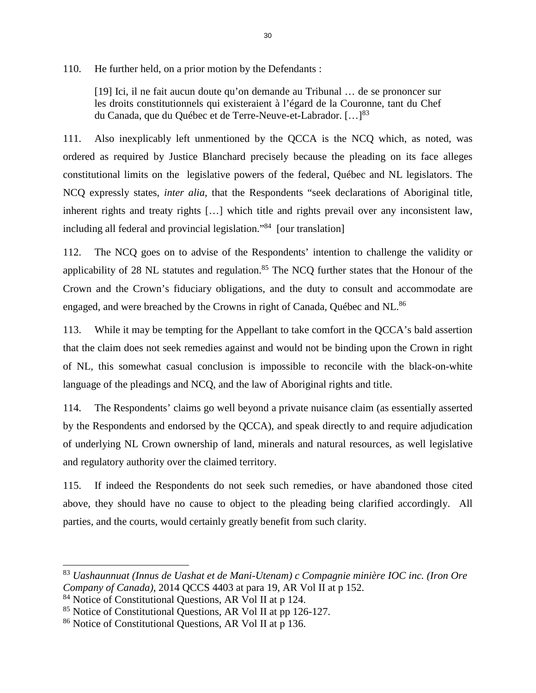110. He further held, on a prior motion by the Defendants :

[19] Ici, il ne fait aucun doute qu'on demande au Tribunal … de se prononcer sur les droits constitutionnels qui existeraient à l'égard de la Couronne, tant du Chef du Canada, que du Québec et de Terre-Neuve-et-Labrador. [...]<sup>[83](#page-34-0)</sup>

111. Also inexplicably left unmentioned by the QCCA is the NCQ which, as noted, was ordered as required by Justice Blanchard precisely because the pleading on its face alleges constitutional limits on the legislative powers of the federal, Québec and NL legislators. The NCQ expressly states, *inter alia*, that the Respondents "seek declarations of Aboriginal title, inherent rights and treaty rights […] which title and rights prevail over any inconsistent law, including all federal and provincial legislation."[84](#page-34-1) [our translation]

112. The NCQ goes on to advise of the Respondents' intention to challenge the validity or applicability of 28 NL statutes and regulation.<sup>[85](#page-34-2)</sup> The NCQ further states that the Honour of the Crown and the Crown's fiduciary obligations, and the duty to consult and accommodate are engaged, and were breached by the Crowns in right of Canada, Québec and NL.<sup>[86](#page-34-3)</sup>

113. While it may be tempting for the Appellant to take comfort in the QCCA's bald assertion that the claim does not seek remedies against and would not be binding upon the Crown in right of NL, this somewhat casual conclusion is impossible to reconcile with the black-on-white language of the pleadings and NCQ, and the law of Aboriginal rights and title.

114. The Respondents' claims go well beyond a private nuisance claim (as essentially asserted by the Respondents and endorsed by the QCCA), and speak directly to and require adjudication of underlying NL Crown ownership of land, minerals and natural resources, as well legislative and regulatory authority over the claimed territory.

115. If indeed the Respondents do not seek such remedies, or have abandoned those cited above, they should have no cause to object to the pleading being clarified accordingly. All parties, and the courts, would certainly greatly benefit from such clarity.

<span id="page-34-0"></span><sup>83</sup> *Uashaunnuat (Innus de Uashat et de Mani-Utenam) c Compagnie minière IOC inc. (Iron Ore Company of Canada)*, 2014 QCCS 4403 at para 19, AR Vol II at p 152.

<span id="page-34-2"></span><span id="page-34-1"></span><sup>84</sup> Notice of Constitutional Questions, AR Vol II at p 124.

<span id="page-34-3"></span><sup>85</sup> Notice of Constitutional Questions, AR Vol II at pp 126-127.

<sup>86</sup> Notice of Constitutional Questions, AR Vol II at p 136.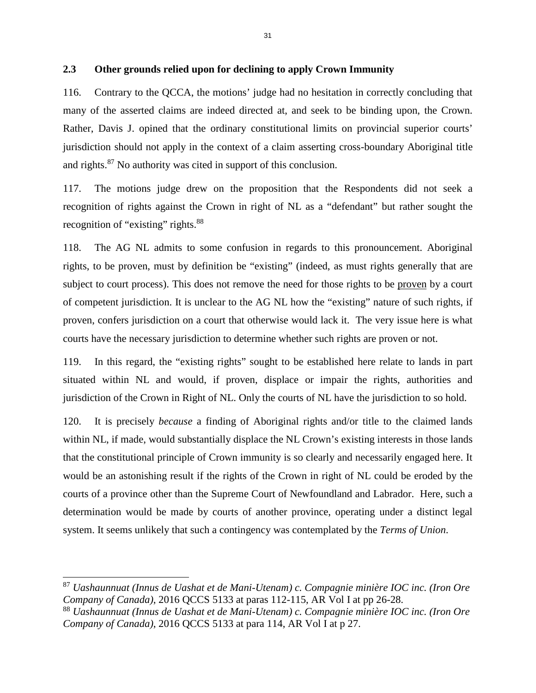### **2.3 Other grounds relied upon for declining to apply Crown Immunity**

116. Contrary to the QCCA, the motions' judge had no hesitation in correctly concluding that many of the asserted claims are indeed directed at, and seek to be binding upon, the Crown. Rather, Davis J. opined that the ordinary constitutional limits on provincial superior courts' jurisdiction should not apply in the context of a claim asserting cross-boundary Aboriginal title and rights.[87](#page-35-0) No authority was cited in support of this conclusion.

117. The motions judge drew on the proposition that the Respondents did not seek a recognition of rights against the Crown in right of NL as a "defendant" but rather sought the recognition of "existing" rights.<sup>[88](#page-35-1)</sup>

118. The AG NL admits to some confusion in regards to this pronouncement. Aboriginal rights, to be proven, must by definition be "existing" (indeed, as must rights generally that are subject to court process). This does not remove the need for those rights to be proven by a court of competent jurisdiction. It is unclear to the AG NL how the "existing" nature of such rights, if proven, confers jurisdiction on a court that otherwise would lack it. The very issue here is what courts have the necessary jurisdiction to determine whether such rights are proven or not.

119. In this regard, the "existing rights" sought to be established here relate to lands in part situated within NL and would, if proven, displace or impair the rights, authorities and jurisdiction of the Crown in Right of NL. Only the courts of NL have the jurisdiction to so hold.

120. It is precisely *because* a finding of Aboriginal rights and/or title to the claimed lands within NL, if made, would substantially displace the NL Crown's existing interests in those lands that the constitutional principle of Crown immunity is so clearly and necessarily engaged here. It would be an astonishing result if the rights of the Crown in right of NL could be eroded by the courts of a province other than the Supreme Court of Newfoundland and Labrador. Here, such a determination would be made by courts of another province, operating under a distinct legal system. It seems unlikely that such a contingency was contemplated by the *Terms of Union*.

<span id="page-35-0"></span><sup>87</sup> *Uashaunnuat (Innus de Uashat et de Mani-Utenam) c. Compagnie minière IOC inc. (Iron Ore Company of Canada)*, 2016 QCCS 5133 at paras 112-115, AR Vol I at pp 26-28.

<span id="page-35-1"></span><sup>88</sup> *Uashaunnuat (Innus de Uashat et de Mani-Utenam) c. Compagnie minière IOC inc. (Iron Ore Company of Canada)*, 2016 QCCS 5133 at para 114, AR Vol I at p 27.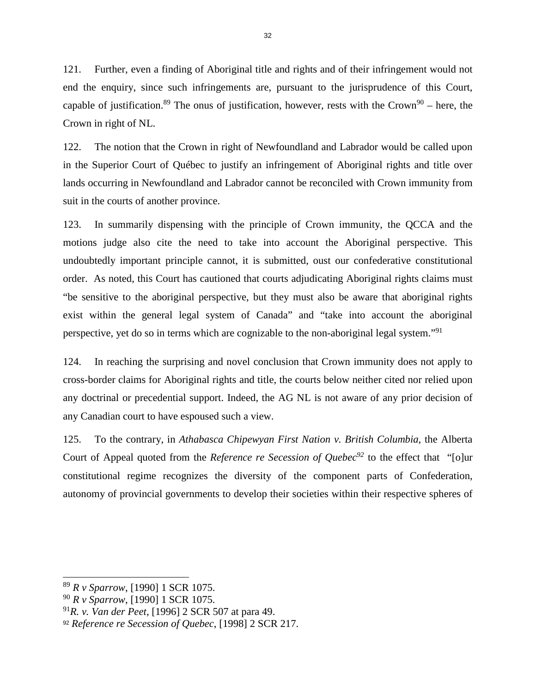121. Further, even a finding of Aboriginal title and rights and of their infringement would not end the enquiry, since such infringements are, pursuant to the jurisprudence of this Court, capable of justification.<sup>[89](#page-36-0)</sup> The onus of justification, however, rests with the Crown<sup>[90](#page-36-1)</sup> – here, the Crown in right of NL.

122. The notion that the Crown in right of Newfoundland and Labrador would be called upon in the Superior Court of Québec to justify an infringement of Aboriginal rights and title over lands occurring in Newfoundland and Labrador cannot be reconciled with Crown immunity from suit in the courts of another province.

123. In summarily dispensing with the principle of Crown immunity, the QCCA and the motions judge also cite the need to take into account the Aboriginal perspective. This undoubtedly important principle cannot, it is submitted, oust our confederative constitutional order. As noted, this Court has cautioned that courts adjudicating Aboriginal rights claims must "be sensitive to the aboriginal perspective, but they must also be aware that aboriginal rights exist within the general legal system of Canada" and "take into account the aboriginal perspective, yet do so in terms which are cognizable to the non-aboriginal legal system."[91](#page-36-2)

124. In reaching the surprising and novel conclusion that Crown immunity does not apply to cross-border claims for Aboriginal rights and title, the courts below neither cited nor relied upon any doctrinal or precedential support. Indeed, the AG NL is not aware of any prior decision of any Canadian court to have espoused such a view.

125. To the contrary, in *Athabasca Chipewyan First Nation v. British Columbia*, the Alberta Court of Appeal quoted from the *Reference re Secession of Quebec[92](#page-36-3)* to the effect that "[o]ur constitutional regime recognizes the diversity of the component parts of Confederation, autonomy of provincial governments to develop their societies within their respective spheres of

<span id="page-36-0"></span><sup>89</sup> *R v Sparrow*, [1990] 1 SCR 1075.

<span id="page-36-2"></span><span id="page-36-1"></span><sup>90</sup> *R v Sparrow*, [1990] 1 SCR 1075.

<sup>91</sup>*R. v. Van der Peet*, [1996] 2 SCR 507 at para 49.

<span id="page-36-3"></span><sup>92</sup> *Reference re Secession of Quebec*, [1998] 2 SCR 217.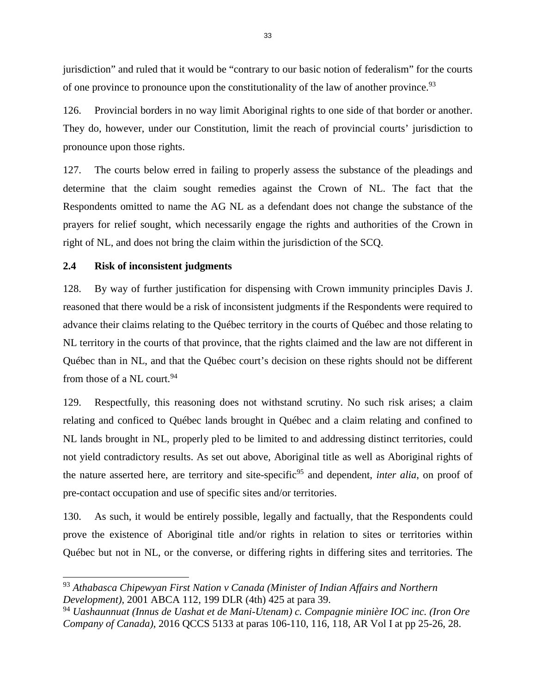jurisdiction" and ruled that it would be "contrary to our basic notion of federalism" for the courts of one province to pronounce upon the constitutionality of the law of another province.<sup>[93](#page-37-0)</sup>

126. Provincial borders in no way limit Aboriginal rights to one side of that border or another. They do, however, under our Constitution, limit the reach of provincial courts' jurisdiction to pronounce upon those rights.

127. The courts below erred in failing to properly assess the substance of the pleadings and determine that the claim sought remedies against the Crown of NL. The fact that the Respondents omitted to name the AG NL as a defendant does not change the substance of the prayers for relief sought, which necessarily engage the rights and authorities of the Crown in right of NL, and does not bring the claim within the jurisdiction of the SCQ.

#### **2.4 Risk of inconsistent judgments**

128. By way of further justification for dispensing with Crown immunity principles Davis J. reasoned that there would be a risk of inconsistent judgments if the Respondents were required to advance their claims relating to the Québec territory in the courts of Québec and those relating to NL territory in the courts of that province, that the rights claimed and the law are not different in Québec than in NL, and that the Québec court's decision on these rights should not be different from those of a NL court.<sup>[94](#page-37-1)</sup>

129. Respectfully, this reasoning does not withstand scrutiny. No such risk arises; a claim relating and conficed to Québec lands brought in Québec and a claim relating and confined to NL lands brought in NL, properly pled to be limited to and addressing distinct territories, could not yield contradictory results. As set out above, Aboriginal title as well as Aboriginal rights of the nature asserted here, are territory and site-specific<sup>[95](#page-37-2)</sup> and dependent, *inter alia*, on proof of pre-contact occupation and use of specific sites and/or territories.

130. As such, it would be entirely possible, legally and factually, that the Respondents could prove the existence of Aboriginal title and/or rights in relation to sites or territories within Québec but not in NL, or the converse, or differing rights in differing sites and territories. The

<span id="page-37-2"></span><span id="page-37-0"></span><sup>93</sup> *Athabasca Chipewyan First Nation v Canada (Minister of Indian Affairs and Northern Development)*, 2001 ABCA 112, 199 DLR (4th) 425 at para 39.

<span id="page-37-1"></span><sup>94</sup> *Uashaunnuat (Innus de Uashat et de Mani-Utenam) c. Compagnie minière IOC inc. (Iron Ore Company of Canada)*, 2016 QCCS 5133 at paras 106-110, 116, 118, AR Vol I at pp 25-26, 28.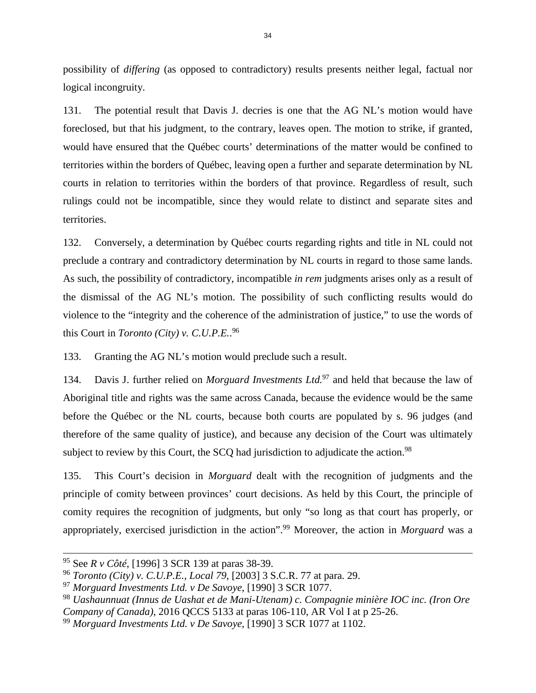possibility of *differing* (as opposed to contradictory) results presents neither legal, factual nor logical incongruity.

131. The potential result that Davis J. decries is one that the AG NL's motion would have foreclosed, but that his judgment, to the contrary, leaves open. The motion to strike, if granted, would have ensured that the Québec courts' determinations of the matter would be confined to territories within the borders of Québec, leaving open a further and separate determination by NL courts in relation to territories within the borders of that province. Regardless of result, such rulings could not be incompatible, since they would relate to distinct and separate sites and territories.

132. Conversely, a determination by Québec courts regarding rights and title in NL could not preclude a contrary and contradictory determination by NL courts in regard to those same lands. As such, the possibility of contradictory, incompatible *in rem* judgments arises only as a result of the dismissal of the AG NL's motion. The possibility of such conflicting results would do violence to the "integrity and the coherence of the administration of justice," to use the words of this Court in *Toronto (City) v. C.U.P.E.*. [96](#page-38-0)

133. Granting the AG NL's motion would preclude such a result.

134. Davis J. further relied on *Morguard Investments Ltd.*[97](#page-38-1) and held that because the law of Aboriginal title and rights was the same across Canada, because the evidence would be the same before the Québec or the NL courts, because both courts are populated by s. 96 judges (and therefore of the same quality of justice), and because any decision of the Court was ultimately subject to review by this Court, the SCQ had jurisdiction to adjudicate the action.<sup>[98](#page-38-2)</sup>

135. This Court's decision in *Morguard* dealt with the recognition of judgments and the principle of comity between provinces' court decisions. As held by this Court, the principle of comity requires the recognition of judgments, but only "so long as that court has properly, or appropriately, exercised jurisdiction in the action".[99](#page-38-3) Moreover, the action in *Morguard* was a

<sup>95</sup> See *R v Côté*, [1996] 3 SCR 139 at paras 38-39.

<span id="page-38-0"></span><sup>96</sup> *Toronto (City) v. C.U.P.E., Local 79*, [2003] 3 S.C.R. 77 at para. 29.

<span id="page-38-1"></span><sup>97</sup> *Morguard Investments Ltd. v De Savoye*, [1990] 3 SCR 1077.

<span id="page-38-2"></span><sup>98</sup> *Uashaunnuat (Innus de Uashat et de Mani-Utenam) c. Compagnie minière IOC inc. (Iron Ore Company of Canada)*, 2016 QCCS 5133 at paras 106-110, AR Vol I at p 25-26.

<span id="page-38-3"></span><sup>99</sup> *Morguard Investments Ltd. v De Savoye*, [1990] 3 SCR 1077 at 1102.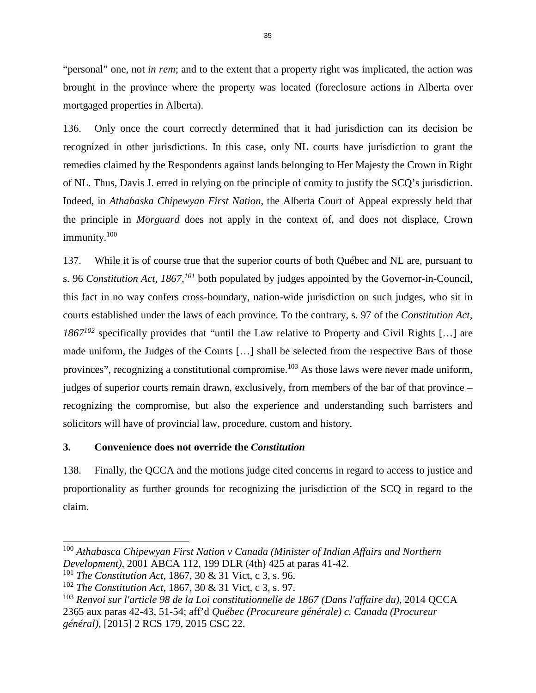"personal" one, not *in rem*; and to the extent that a property right was implicated, the action was brought in the province where the property was located (foreclosure actions in Alberta over mortgaged properties in Alberta).

136. Only once the court correctly determined that it had jurisdiction can its decision be recognized in other jurisdictions. In this case, only NL courts have jurisdiction to grant the remedies claimed by the Respondents against lands belonging to Her Majesty the Crown in Right of NL. Thus, Davis J. erred in relying on the principle of comity to justify the SCQ's jurisdiction. Indeed, in *Athabaska Chipewyan First Nation*, the Alberta Court of Appeal expressly held that the principle in *Morguard* does not apply in the context of, and does not displace, Crown immunity.[100](#page-39-0)

137. While it is of course true that the superior courts of both Québec and NL are, pursuant to s. 96 *Constitution Act, 1867,[101](#page-39-1)* both populated by judges appointed by the Governor-in-Council, this fact in no way confers cross-boundary, nation-wide jurisdiction on such judges, who sit in courts established under the laws of each province. To the contrary, s. 97 of the *Constitution Act, 1867[102](#page-39-2)* specifically provides that "until the Law relative to Property and Civil Rights […] are made uniform, the Judges of the Courts […] shall be selected from the respective Bars of those provinces", recognizing a constitutional compromise.<sup>[103](#page-39-3)</sup> As those laws were never made uniform, judges of superior courts remain drawn, exclusively, from members of the bar of that province – recognizing the compromise, but also the experience and understanding such barristers and solicitors will have of provincial law, procedure, custom and history.

# **3. Convenience does not override the** *Constitution*

138. Finally, the QCCA and the motions judge cited concerns in regard to access to justice and proportionality as further grounds for recognizing the jurisdiction of the SCQ in regard to the claim.

<span id="page-39-0"></span><sup>100</sup> *Athabasca Chipewyan First Nation v Canada (Minister of Indian Affairs and Northern Development)*, 2001 ABCA 112, 199 DLR (4th) 425 at paras 41-42.

<span id="page-39-1"></span><sup>101</sup> *The Constitution Act*, 1867, 30 & 31 Vict, c 3, s. 96.

<span id="page-39-2"></span><sup>102</sup> *The Constitution Act*, 1867, 30 & 31 Vict, c 3, s. 97.

<span id="page-39-3"></span><sup>103</sup> *Renvoi sur l'article 98 de la Loi constitutionnelle de 1867 (Dans l'affaire du)*, 2014 QCCA 2365 aux paras 42-43, 51-54; aff'd *Québec (Procureure générale) c. Canada (Procureur général)*, [2015] 2 RCS 179, 2015 CSC 22.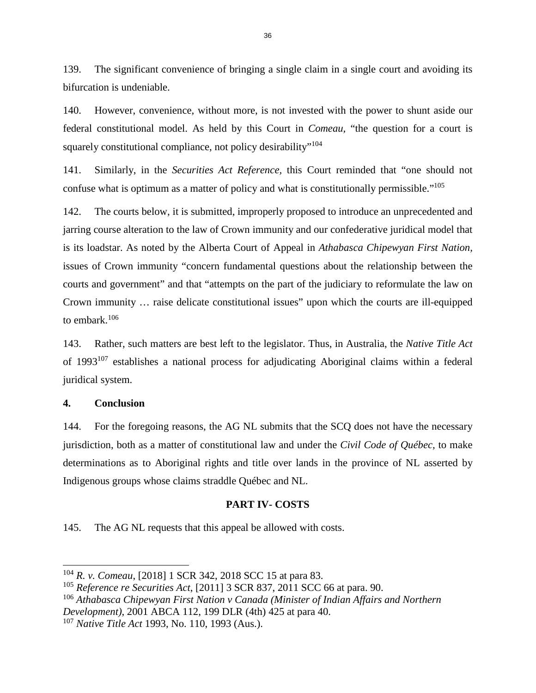139. The significant convenience of bringing a single claim in a single court and avoiding its bifurcation is undeniable.

140. However, convenience, without more, is not invested with the power to shunt aside our federal constitutional model. As held by this Court in *Comeau,* "the question for a court is squarely constitutional compliance, not policy desirability"<sup>[104](#page-40-0)</sup>

141. Similarly, in the *Securities Act Reference,* this Court reminded that "one should not confuse what is optimum as a matter of policy and what is constitutionally permissible."[105](#page-40-1)

142. The courts below, it is submitted, improperly proposed to introduce an unprecedented and jarring course alteration to the law of Crown immunity and our confederative juridical model that is its loadstar. As noted by the Alberta Court of Appeal in *Athabasca Chipewyan First Nation,*  issues of Crown immunity "concern fundamental questions about the relationship between the courts and government" and that "attempts on the part of the judiciary to reformulate the law on Crown immunity … raise delicate constitutional issues" upon which the courts are ill-equipped to embark<sup>[106](#page-40-2)</sup>

143. Rather, such matters are best left to the legislator. Thus, in Australia, the *Native Title Act* of 1993[107](#page-40-3) establishes a national process for adjudicating Aboriginal claims within a federal juridical system.

### **4. Conclusion**

144. For the foregoing reasons, the AG NL submits that the SCQ does not have the necessary jurisdiction, both as a matter of constitutional law and under the *Civil Code of Québec,* to make determinations as to Aboriginal rights and title over lands in the province of NL asserted by Indigenous groups whose claims straddle Québec and NL.

#### **PART IV- COSTS**

145. The AG NL requests that this appeal be allowed with costs.

<span id="page-40-0"></span><sup>104</sup> *R. v. Comeau*, [2018] 1 SCR 342, 2018 SCC 15 at para 83.

<span id="page-40-1"></span><sup>105</sup> *Reference re Securities Act*, [2011] 3 SCR 837, 2011 SCC 66 at para. 90.

<span id="page-40-2"></span><sup>106</sup> *Athabasca Chipewyan First Nation v Canada (Minister of Indian Affairs and Northern Development)*, 2001 ABCA 112, 199 DLR (4th) 425 at para 40.

<span id="page-40-3"></span><sup>107</sup> *Native Title Act* 1993, No. 110, 1993 (Aus.).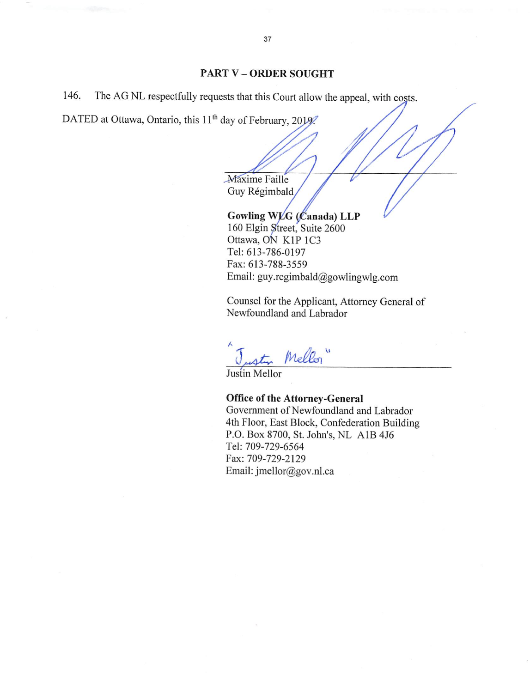### **PART V - ORDER SOUGHT**

The AG NL respectfully requests that this Court allow the appeal, with costs. 146.

DATED at Ottawa, Ontario, this 11<sup>th</sup> day of February, 2019.

Maxime Faille Guy Régimbald

Gowling WLG (Canada) LLP 160 Elgin Street, Suite 2600 Ottawa, ON K1P 1C3 Tel: 613-786-0197 Fax: 613-788-3559 Email: guy.regimbald@gowlingwlg.com

Counsel for the Applicant, Attorney General of Newfoundland and Labrador

Mellon"

Justin Mellor

#### **Office of the Attorney-General**

Government of Newfoundland and Labrador 4th Floor, East Block, Confederation Building P.O. Box 8700, St. John's, NL A1B 4J6 Tel: 709-729-6564 Fax: 709-729-2129 Email: jmellor@gov.nl.ca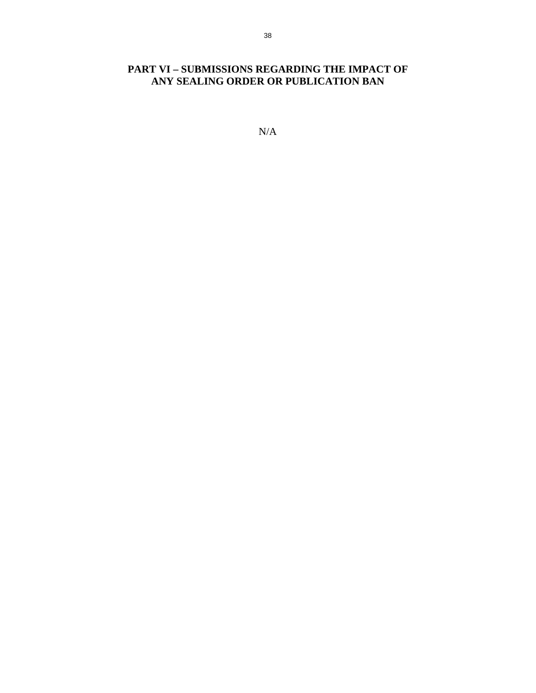# **PART VI – SUBMISSIONS REGARDING THE IMPACT OF ANY SEALING ORDER OR PUBLICATION BAN**

N/A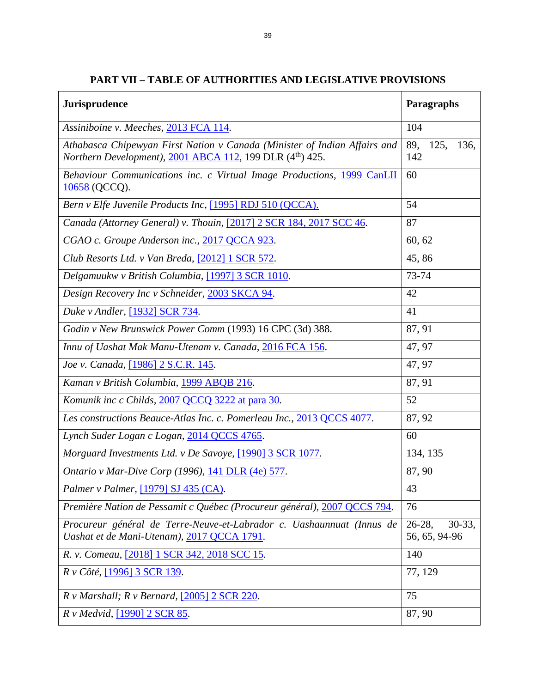| <b>Jurisprudence</b>                                                                                                                                    | Paragraphs                             |
|---------------------------------------------------------------------------------------------------------------------------------------------------------|----------------------------------------|
| Assiniboine v. Meeches, 2013 FCA 114.                                                                                                                   | 104                                    |
| Athabasca Chipewyan First Nation v Canada (Minister of Indian Affairs and<br><i>Northern Development), 2001 ABCA 112, 199 DLR (4<sup>th</sup>) 425.</i> | 125,<br>136.<br>89,<br>142             |
| Behaviour Communications inc. c Virtual Image Productions, 1999 CanLII<br>10658 (QCCQ).                                                                 | 60                                     |
| Bern v Elfe Juvenile Products Inc, [1995] RDJ 510 (QCCA).                                                                                               | 54                                     |
| Canada (Attorney General) v. Thouin, [2017] 2 SCR 184, 2017 SCC 46.                                                                                     | 87                                     |
| CGAO c. Groupe Anderson inc., 2017 QCCA 923.                                                                                                            | 60, 62                                 |
| Club Resorts Ltd. v Van Breda, [2012] 1 SCR 572.                                                                                                        | 45,86                                  |
| Delgamuukw v British Columbia, [1997] 3 SCR 1010.                                                                                                       | 73-74                                  |
| Design Recovery Inc v Schneider, 2003 SKCA 94.                                                                                                          | 42                                     |
| Duke v Andler, [1932] SCR 734.                                                                                                                          | 41                                     |
| Godin v New Brunswick Power Comm (1993) 16 CPC (3d) 388.                                                                                                | 87, 91                                 |
| Innu of Uashat Mak Manu-Utenam v. Canada, 2016 FCA 156.                                                                                                 | 47, 97                                 |
| Joe v. Canada, [1986] 2 S.C.R. 145.                                                                                                                     | 47, 97                                 |
| Kaman v British Columbia, 1999 ABQB 216.                                                                                                                | 87, 91                                 |
| Komunik inc c Childs, 2007 QCCQ 3222 at para 30.                                                                                                        | 52                                     |
| Les constructions Beauce-Atlas Inc. c. Pomerleau Inc., 2013 QCCS 4077.                                                                                  | 87, 92                                 |
| Lynch Suder Logan c Logan, 2014 QCCS 4765.                                                                                                              | 60                                     |
| Morguard Investments Ltd. v De Savoye, [1990] 3 SCR 1077.                                                                                               | 134, 135                               |
| Ontario v Mar-Dive Corp (1996), 141 DLR (4e) 577.                                                                                                       | 87, 90                                 |
| Palmer v Palmer, [1979] SJ 435 (CA).                                                                                                                    | 43                                     |
| Première Nation de Pessamit c Québec (Procureur général), 2007 QCCS 794.                                                                                | 76                                     |
| Procureur général de Terre-Neuve-et-Labrador c. Uashaunnuat (Innus de<br>Uashat et de Mani-Utenam), 2017 QCCA 1791.                                     | $26-28$ ,<br>$30-33,$<br>56, 65, 94-96 |
| R. v. Comeau, [2018] 1 SCR 342, 2018 SCC 15.                                                                                                            | 140                                    |
| R v Côté, [1996] 3 SCR 139.                                                                                                                             | 77, 129                                |
| $R \text{ v }$ Marshall; $R \text{ v }$ Bernard, [2005] 2 SCR 220.                                                                                      | 75                                     |
| R v Medvid, [1990] 2 SCR 85.                                                                                                                            | 87, 90                                 |

**PART VII – TABLE OF AUTHORITIES AND LEGISLATIVE PROVISIONS** 

٦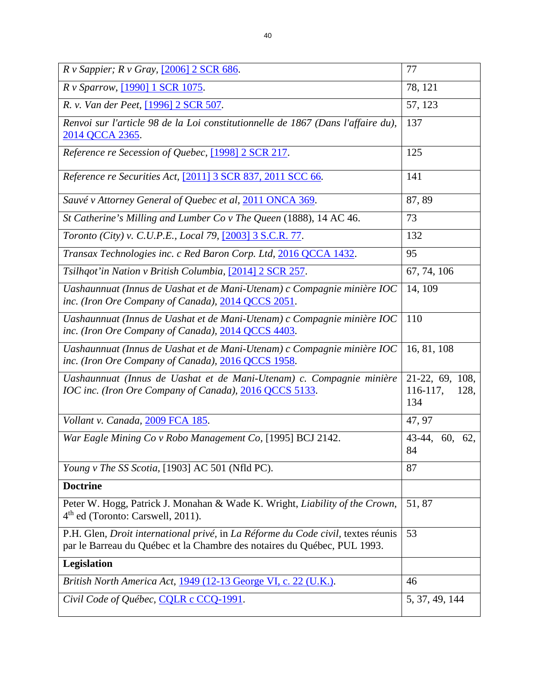| $R \, v$ Sappier; $R \, v$ Gray, [2006] 2 SCR 686.                                                                            | 77          |
|-------------------------------------------------------------------------------------------------------------------------------|-------------|
| <i>R v Sparrow</i> , [1990] 1 SCR 1075.                                                                                       | 78, 121     |
| R. v. Van der Peet, [1996] 2 SCR 507.                                                                                         | 57, 123     |
| Renvoi sur l'article 98 de la Loi constitutionnelle de 1867 (Dans l'affaire du),<br>2014 QCCA 2365.                           | 137         |
| Reference re Secession of Quebec, [1998] 2 SCR 217.                                                                           | 125         |
| Reference re Securities Act, [2011] 3 SCR 837, 2011 SCC 66.                                                                   | 141         |
| Sauvé v Attorney General of Quebec et al, 2011 ONCA 369.                                                                      | 87,89       |
| St Catherine's Milling and Lumber Co v The Queen (1888), 14 AC 46.                                                            | 73          |
| <i>Toronto (City) v. C.U.P.E., Local 79,</i> [2003] 3 S.C.R. 77.                                                              | 132         |
| Transax Technologies inc. c Red Baron Corp. Ltd, 2016 QCCA 1432.                                                              | 95          |
| Tsilhqot'in Nation v British Columbia, [2014] 2 SCR 257.                                                                      | 67, 74, 106 |
| Uashaunnuat (Innus de Uashat et de Mani-Utenam) c Compagnie minière IOC<br>inc. (Iron Ore Company of Canada), 2014 QCCS 2051. | 14, 109     |
| Uashaunnuat (Innus de Uashat et de Mani-Utenam) c Compagnie minière IOC<br>inc. (Iron Ore Company of Canada), 2014 QCCS 4403. | 110         |

*Uashaunnuat (Innus de Uashat et de Mani-Utenam) c Compagnie minière IOC inc. (Iron Ore Company of Canada),* [2016 QCCS 1958.](https://www.canlii.org/fr/qc/qccs/doc/2016/2016qccs1958/2016qccs1958.html?autocompleteStr=2016%20qccs%201958&autocompletePos=1) 16, 81, 108

| Uashaunnuat (Innus de Uashat et de Mani-Utenam) c. Compagnie minière   21-22, 69, 108, |             |      |
|----------------------------------------------------------------------------------------|-------------|------|
| IOC inc. (Iron Ore Company of Canada), 2016 QCCS 5133.                                 | $116-117$ , | 128, |
|                                                                                        | 134         |      |

*Vollant v. Canada,* [2009 FCA 185](https://www.canlii.org/en/ca/fca/doc/2009/2009fca185/2009fca185.html). 47, 97

*War Eagle Mining Co v Robo Management Co,* [1995] BCJ 2142. 43-44, 60, 62, 84 *Young v The SS Scotia,* [1903] AC 501 (Nfld PC). 87

**Doctrine**  Peter W. Hogg, Patrick J. Monahan & Wade K. Wright, *Liability of the Crown*, 4<sup>th</sup> ed (Toronto: Carswell, 2011). 51, 87 P.H. Glen*, Droit international privé,* in *La Réforme du Code civil,* textes réunis par le Barreau du Québec et la Chambre des notaires du Québec, PUL 1993. 53 **Legislation**  *British North America Act*, [1949 \(12-13 George VI, c. 22 \(U.K.\).](http://www.legislation.gov.uk/ukpga/Geo6/12-13-14/22) 46 *Civil Code of Québec, [CQLR c CCQ-1991](https://www.canlii.org/en/qc/laws/stat/cqlr-c-ccq-1991/latest/cqlr-c-ccq-1991.html).* 5, 37, 49, 144